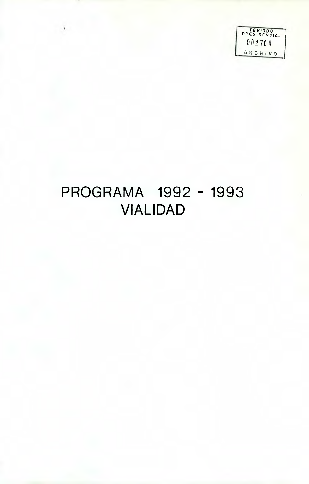PERIODO PR ESiDENCIAL I **002760 ARCHIVO** 

### **PROGRAMA 1992 - 1993 VIALIDAD**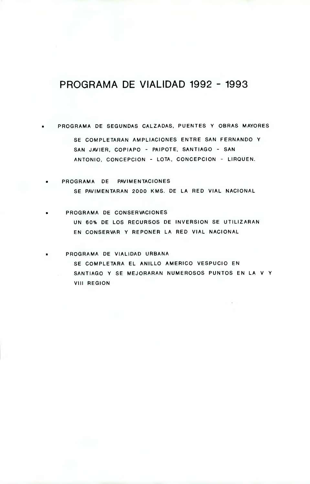### **PROGRAMA DE VIALIDAD 1992 - 1993**

**• PROGRAMA DE SEGUNDAS CALZADAS, PUENTES Y OBRAS MAYORES** 

**SE COMPLETARAN AMPLIACIONES ENTRE SAN FERNANDO Y SAN JAVIER, COPIAPO - PAIPOTE, SANTIAGO - SAN ANTONIO, CONCEPCION - LOTA, CONCEPCION - LIRQUEN.** 

- **PROGRAMA DE PAVIMENTACIONES SE PAVIMENTARAN 2000 KMS. DE LA RED VIAL NACIONAL**
- **PROGRAMA DE CONSERVACIONES UN 60% DE LOS RECURSOS DE INVERSION SE UTILIZARAN EN CONSERVAR Y REPONER LA RED VIAL NACIONAL**

is **PROGRAMA DE VIALIDAD URBANA SE COMPLETARA EL ANILLO AMERICO VESPUCIO EN SANTIAGO Y SE MEJORARAN NUMEROSOS PUNTOS EN LA V Y VIII REGION**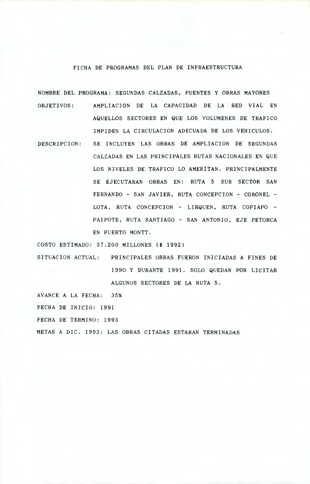### FICHA DE PROGRAMAS DEL PLAN DE INFRAESTRUCTURA

NOMBRE DEL PROGRAMA: SEGUNDAS CALZADAS, PUENTES Y OBRAS MAYORES OBJETIVOS: AMPLIACION DE LA CAPACIDAD DE LA RED VIAL EN AQUELLOS SECTORES EN QUE LOS VOLUMENES DE TRAFICO IMPIDEN LA CIRCULACION ADECUADA DE LOS VEHICULOS.

DESCRIPCION: SE INCLUYEN LAS OBRAS DE AMPLIACION DE SEGUNDAS CALZADAS EN LAS PRINCIPALES RUTAS NACIONALES EN QUE LOS NIVELES DE TRAFICO LO AMERITAN. PRINCIPALMENTE SE EJECUTARAN OBRAS EN: RUTA 5 SUR SECTOR SAN FERNANDO - SAN JAVIER, RUTA CONCEPCION - CORONEL - LOTA, RUTA CONCEPCION - LIRQUEN, RUTA COPIAPO - PAIPOTE, RUTA SANTIAGO - SAN ANTONIO, EJE PETORCA EN PUERTO MONTT.

COSTO ESTIMADO: 37.200 MILLONES (\$ 1992)

SITUACION ACTUAL: PRINCIPALES OBRAS FUERON INICIADAS A FINES DE 1990 Y DURANTE 1991. SOLO QUEDAN POR LICITAR ALGUNOS SECTORES DE LA RUTA 5.

AVANCE A LA FECHA: 35% FECHA DE INICIO: 1991 FECHA DE TERMINO: 1993 METAS A DIC. 1993: LAS OBRAS CITADAS ESTARAN TERMINADAS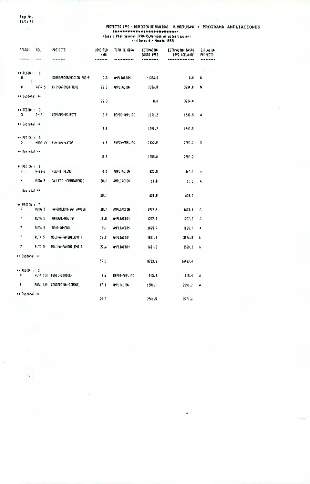Page No.<br>03/12/91  $\mathcal{A}$ 

 $\alpha$ 

 $\cdot$ 

| REGION.                                      | ROL               | <b>PROTECTO</b>             | <b>LONGITUD</b><br>(K) | TIPO DE OBRA  | ESTINACION<br>645T0 1992 | estimacion gasto<br>1992 ADELAHTE | <b>SITUACION</b><br><b>PPOYECTO</b> |
|----------------------------------------------|-------------------|-----------------------------|------------------------|---------------|--------------------------|-----------------------------------|-------------------------------------|
| ******                                       |                   | --------                    |                        |               |                          |                                   |                                     |
| ** REGION : 0<br>0                           |                   | SOBREPROGRAMACION PSC-P     | 0.0                    | ampliacion    | $-1386.0$                | 0.0                               | ÷<br>N                              |
| 0.                                           | RUTA 5            | CHIMBARONGO-TENO            | 22.3                   | AMPLIACION    | 1386.0                   | 3234.0                            | N                                   |
| ** Subtotal **                               |                   |                             | 22.3                   |               | 0.0                      | 3234.0                            |                                     |
| $\leftrightarrow$ REGION : 3<br>3.           | $C-17$            | COPIAPO-PAIPOTE             | 8.9                    | REPOS-AMPLIAC | 1091.2                   | 1540.5                            | Α                                   |
| ## Subtotal ##                               |                   |                             | 8.9                    |               | 1091.2                   | 1540.5                            |                                     |
| ** PEGION : 5                                |                   | 5 RUTA 78 PUANGUE-LEYDA     | 8.9                    | REPOS-AMPLIAC | 1355.0                   | 2787.2                            | Ħ                                   |
| ** Subtotal **                               |                   |                             | 8.9                    |               | 1355.0                   | 2787.2                            |                                     |
| $\leftrightarrow$ REGION : 6<br>$\mathbf{I}$ | H-66-G            | PUENTE PEUMO                | 0.0                    | AMPLIACION    | 620.8                    | 667.0                             | A                                   |
|                                              | ruta 5            | SAN FDO.-CHIMBARONGO        | 20.1                   | AMPLIACION    | - 11.0                   | 11.0                              | A                                   |
| Subtotal **                                  |                   |                             | 20.1                   |               | 631.8                    | 67B.0                             |                                     |
| ++ REGION : 7<br>$\mathcal{V}$               | RUTA 5            | FANGUILEMO-SAN JAVIER       | 28.7                   | AMPLIACION    | 2977.4                   | 6673.4                            | А                                   |
| $\overline{7}$                               | RUTA <sub>5</sub> | ROMERAL-MOLINA              | 19.8                   | AMPLIACION    | 1277.2                   | 1277.2                            | A                                   |
| 7.                                           | ruta 5            | TENO-ROMERAL                | 9.1                    | AMPLIACION    | 1025.7                   | 1025.7                            | A                                   |
| $\overline{\prime}$                          | RUTA 5            | MOLINA-PANGUILEMO I         | 16.9                   | AMPLIACION    | 1821.2                   | 3926.8                            | N                                   |
| 7                                            | RUTA 5            | MOLINA-PANGUILEMO II        | 22.6                   | AMPLIACION    | 1601.8                   | 3580.3                            | N                                   |
| ** Subtotal **                               |                   |                             |                        |               |                          |                                   |                                     |
|                                              |                   |                             | 97.1                   |               | 8703.3                   | 16483.4                           |                                     |
| $\leftrightarrow$ REGION : 3<br>8.           |                   | ruta 150 - Fenco-Lirouen    | 3.6                    | REPOS-AMPLIAC | 915.4                    | 915.4                             | А                                   |
| 3.                                           |                   | FUTA 160 CONCEPCION-CORONEL | 17.1                   | AMPLIACION    | 15B6.1                   | 2056.2                            | А                                   |
| ** Suptotal **                               |                   |                             | 20.7                   |               | 2501.5                   | 2971.6                            |                                     |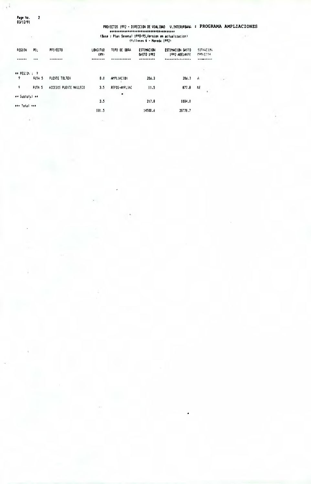Page tio.<br>03/12/91

 $\overline{\mathbf{c}}$ 

ηÝ.

# PROYECTOS 1992 - DIRECCION DE VIALIDAD - V.INTERURBANA : PROGRAMA AMPLIACIONES<br>
SUSSE : Plan Sexenal 1990-95,Version en actualizacion)<br>
(Plan Sexenal 1990-95,Version en actualizacion)<br>
(Plan Sexenal 1990-95,Version en actu

| POL               | PFO/ECTO                                             | LONSITUD<br>(M) | TIPD DE OBFA  | <b>ESTIMACION</b><br>GASTO 1992 | ESTIMACION GASTO<br>1992 ADELINITE | 51160106<br><b>FROVECTO</b> |
|-------------------|------------------------------------------------------|-----------------|---------------|---------------------------------|------------------------------------|-----------------------------|
|                   |                                                      |                 |               |                                 |                                    |                             |
|                   |                                                      |                 |               |                                 |                                    |                             |
|                   |                                                      |                 |               |                                 |                                    |                             |
| RUTA <sub>5</sub> | <b>PUENTE TOLTEN</b>                                 | 0.0             | AMPLIACION    | 206.3                           | 206.3                              | A                           |
| FUTA 5            | ACCESOS PUENTE MALLECO                               | 3.5             | REPOS-AMPLIAC | 11.5                            | 077.6                              | NE                          |
|                   |                                                      |                 |               |                                 |                                    |                             |
| ** Subtotal **    |                                                      |                 |               |                                 |                                    |                             |
|                   |                                                      | 3,5             |               | 217.8                           | 1094.0                             |                             |
|                   |                                                      | 181.5           |               | 14500.6                         | 28776.7                            |                             |
|                   | $\leftrightarrow$ PEG(D) : 7<br><b>HAN Total ANN</b> |                 |               | ٠                               |                                    |                             |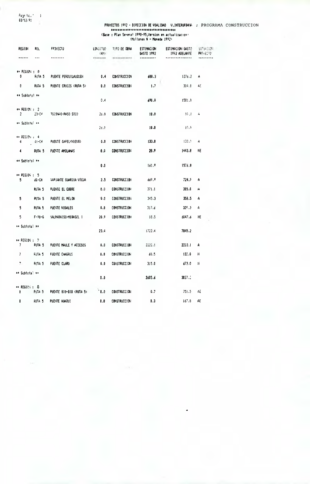Page 1c."<br>03/12/91  $\blacksquare$  <br> 1

| REGION                                       | RDL               | <b>FFOYECTO</b>         | LONGITUD<br>(101) | TIPO DE OBRA        | <b>ESTIMACION</b><br>645TO 1992 | ESTIMACION GASTO<br>1992 ADELANTE | 51756101<br>PRG ECTO |
|----------------------------------------------|-------------------|-------------------------|-------------------|---------------------|---------------------------------|-----------------------------------|----------------------|
|                                              |                   |                         |                   |                     |                                 |                                   |                      |
| $\leftrightarrow$ PEGION : 0<br>0            | RUTA 5            | PUENTE PERQUILAUQUEN    | 0.4               | <b>CONSTRUCCION</b> | 688.3                           | 1276.2                            | А                    |
| 0                                            | RUTA 5            | PUENTE CRUCES (RUTA 5)  | 0.0               | <b>CONSTRUCCION</b> | 1,7                             | 304.8                             | AE                   |
| ** Subtots! **                               |                   |                         | 0.4               |                     | 690.0                           | 1581.0                            |                      |
| $\leftrightarrow$ REGION : 2<br>$\mathbf{2}$ |                   | 1000440-PASO SICO       | 26.0              | <b>CONSTRUCCION</b> | 10.0                            | $10 - 0$                          | 4                    |
| ** Subtotal **                               |                   |                         | 26.0              |                     | 10.0                            | 10.6                              |                      |
| ** REGION : 4<br>4.                          | - 11-CH           | PUENTE CAPEL (NNEVO)    | 0.0               | <b>CONSTRUCCION</b> | 133.0                           | 13310                             | A                    |
| 4                                            | ruta 5            | PUERTE AMOLANAS         | 0.0               | <b>CONSTRUCCION</b> | 28.9                            | 1443.8                            | NE                   |
| ≄≉ Subtotal **                               |                   |                         | 0.0               |                     | 161.9                           | 1576.8                            |                      |
| $+ 0.05666 + 5$<br>5.                        | óG-CH             | VAPIANTE GUARDIA VIEJA. | 2.5               | <b>CONSTRUCCION</b> | 669.9                           | 724.7                             | A                    |
|                                              | RUTA 5            | PUENTE EL COBRE         | 0.0               | <b>CONSTRUCCION</b> | 371.1                           | 385.0                             | Ĥ                    |
| 5                                            | RUTA <sub>5</sub> | PUENTE EL MELON         | 0.0               | <b>CONSTRUCCION</b> | 345.3                           | 358.5                             | A                    |
| 5                                            | RUTA <sub>5</sub> | PUENTE NOGALES          | 0.0               | <b>CONSTRUCCION</b> | 317.6                           | $32°$ . 3                         | А                    |
| 5.                                           | F-98-6            | 'ALPARAISO-MIRASOL I    | 20.9              | CONSTRUCE FON       | 18.5                            | 6047.6                            | NE                   |
| ** Subtotal **                               |                   |                         | 23.4              |                     | 1722.4                          | 7845.2                            |                      |
| ** REGION : - 7 -<br>7.                      | ruta 5            | PUENTE MAULE Y ACCESOS  | 0.0               | <b>CONSTRUCCION</b> | 2222.1                          | 2222.1                            | А                    |
| $\overline{ }$                               | RUTA 5            | FUENTE CHAGRES          | 0.0               | <b>CONSTRUCCION</b> | 68.5                            | 13.0                              | и                    |
| 7.                                           | RUTA <sub>5</sub> | PUENTE CLARO            | 0.0               | <b>CONSTRUCCION</b> | 315.0                           | 673.0                             | И                    |
| ** Subtotal **                               |                   |                         | 0.0               |                     | 2605.6                          | 3027.2                            |                      |
| $+ 0.0001113388$<br>8                        | RUTA 5            | PUENTE 810-B10 (RUTA 5) | .0.0              | <b>CONSTRUCCION</b> | 0.7                             | 751.5                             | ΑĒ                   |
| 8                                            | RUTA <sub>5</sub> | PUENTE HUAQUI           | 0.0               | <b>CONSTRUCCION</b> | 0.3                             | 167.8                             | AE                   |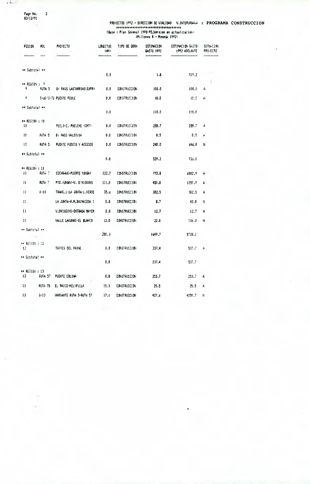Pape No, 2

03/12/91  $\sim$ 

 $\cdot$  in  $\cdot$ 

#### PROYECTOS 1992 - DIRECCICN DE VIALIDAD V.INTERURBAiA **: PROGRAMA CONSTRUCCION**  (Base : Plan Sexenal 1990-95<sup>1</sup> Version en actualitacion) (Millones 1 - Moneda 1992)

| FEGION                        | ROL                | PROYECTO                 | <b>LOWSTTUD</b><br>(M) | TIPO DE OBRA        | ESTINACION<br>GASTO 1992 | ESTIMACION GASTO<br>1992 ADELANTE | <b>SITURCION</b><br><b>PROJECTO</b> |
|-------------------------------|--------------------|--------------------------|------------------------|---------------------|--------------------------|-----------------------------------|-------------------------------------|
|                               |                    |                          |                        |                     |                          |                                   |                                     |
| ** Subtotal **                |                    |                          | 0.0                    |                     | 1.0                      | 919.2                             |                                     |
|                               |                    |                          |                        |                     |                          |                                   | -1                                  |
| ** REGION : 9<br>9            | RUTA 5             | BY PASS LASTARRIAS(EXPR) | 0,0                    | <b>CONSTRUCCION</b> | 100.0                    | 100.0                             | 4                                   |
| ۰                             |                    | S-60/S-70 PUBITE PEULE   | 0.0                    | <b>CONSTRUCCION</b> | 10.0                     | 10.0                              | f.                                  |
| ## Subtotal #*                |                    |                          | 0.0                    |                     | 110.0                    | 110.0                             |                                     |
|                               |                    |                          |                        |                     |                          |                                   |                                     |
| ** REGION : 10<br>10          |                    | PUELO-C. PUELCHE (CMT)   | 0,0                    | <b>CONSTRUCCION</b> | 288.7                    | 288.7                             | А                                   |
| 10                            | FUTA 5             | BY PASS VALDIVIA         | 0.0                    | <b>CONSTRUCCION</b> | 0.5                      | 0.5                               | Ĥ                                   |
| 10                            | RUTA <sub>5</sub>  | PUENTE PUDETO Y ACCESOS  | 0.0                    | <b>CONSTRUCCION</b> | 240.0                    | 646.8                             | И                                   |
| ## Subtotal **                |                    |                          | 0.0                    |                     | 529.2                    | 936.0                             |                                     |
| $\leftrightarrow$ REGION : 11 |                    |                          |                        |                     |                          |                                   |                                     |
| 11                            | RUTH 7             | COCHRANE-PUERTO YUNGAY   | 122.7                  | <b>CONSTRUCCION</b> | 773.8                    | 6802.9                            | Å                                   |
| $\mathbf{11}$                 | RUTA 7             | PTO.YUNGAY-V. 0'HIGGINS  | 111.0                  | <b>CONSTRUCCION</b> | 450.0                    | 1350.9                            | ۴                                   |
| 11                            | $X-10$             | TRANS.1-LA JUNTA-L.VERDE | 35.6                   | CONSTRUCCION        | 3B2.5                    | 382.5                             | A                                   |
| 11                            |                    | LA JUNTA-R.M.BALMACEDA I | 0.0                    | CONSTRUCCION        | 8.7                      | 42.8                              | N                                   |
| П                             |                    | V.OHIGGINS-ENTRADA MAYER | 0.0                    | <b>CONSTRUCCION</b> | 12.7                     | 12.7                              | N                                   |
| $\mathbf{H}$                  |                    | VALLE LAGUNAS-EL BLANCO  | 12.0                   | <b>CONSTRUCCION</b> | 22.0                     | 136.3                             | И                                   |
| ** Subtctal **<br>$\sim$ F.   |                    |                          | 281.3                  |                     | 1649.7                   | 9728.1                            |                                     |
| $\leftrightarrow$ RESIDN : 12 |                    |                          |                        |                     |                          |                                   |                                     |
| 12                            |                    | TORRES DEL PAINE         | 0.0                    | <b>CONSTRUCCION</b> | 237.4                    | 537.7                             | А                                   |
| →+ Subtotal ↔                 |                    |                          | 0.0                    |                     | 237.4                    | 537.7                             |                                     |
|                               |                    |                          |                        |                     |                          |                                   |                                     |
| ## REGION : 13<br>13          | RUTA 57            | PUENTE COLINA            | 0.0                    | <b>CONSTRUCCION</b> | 253.7                    | 253.7                             | A                                   |
| 13                            | RUTA <sub>78</sub> | EL PAICO-MELIPILLA       | 15.3                   | CONSTRUCCION        | 25.5                     | 25.5                              | A                                   |
| 13                            | $6 - 13$           | VARIANTE RUTA 5-RUTA 57  | 17.1                   | CONSTRUCCION        | 427.6                    | 4250.7                            | N                                   |

 $\sqrt{16}$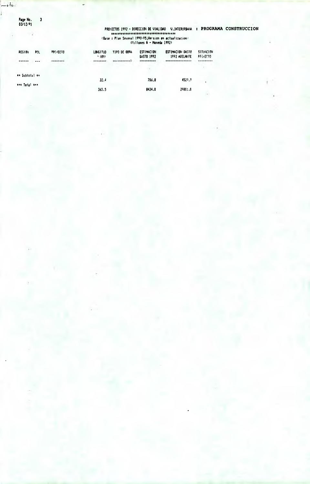Page No.<br>03/12/91  $\pmb{\mathfrak{z}}$ 

- 1

البغارا  $\overline{ }$ ï

PROYECTOS 1992 - DIRECCION DE VIALIDAD - V.INTERURBAVA - : PROGRAMA CONSTRUCCION<br>
SOCION (Base : Plan Sexenal 1990-95, Version en actualización)<br>
(Base : Plan Sexenal 1990-95, Version en actualización)<br>
(Billones \$ - Moned

| REG101         | POL<br>$\bullet$ $\bullet$ | PROVECTO.<br>******** | LONGTTUD<br>(11) | TIPO DE OBRA<br>-------- | <b>ESTIMACION</b><br>GASTO 1992<br>---------- | ESTIMACION GASTO<br>1992 ADELANTE | <b>SITUACION</b><br><b>PROTECTO</b> |
|----------------|----------------------------|-----------------------|------------------|--------------------------|-----------------------------------------------|-----------------------------------|-------------------------------------|
| ** Subtotal ** |                            |                       | 32.4             |                          | 706.8                                         | 4529.9                            | ٠                                   |
| *** Total ***  |                            |                       | 363.5            |                          | 8424.0                                        | 29801.0                           |                                     |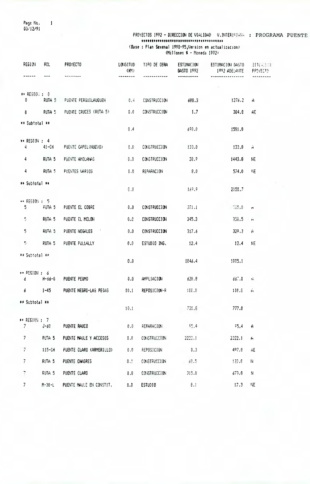Page No.<br>03/12/91  $\mathbf{1}$ 

### PROYECTOS 1992 - DIRECCION DE VIALIDAD V.INTERURRHA : PROGRAMA PUENTE.

(Base: Plan Sexenal 1990-95, Version en actualización)<br>(Millones \$ - Moneda 1992)

| REGION                                   | ROL               | <b>PROYECTO</b>             | LONGITUD<br>(W) | TIPO DE OBRA        | ESTIMACION<br>GASTO 1992 | ESTIMACION GASTO<br>1992 ADELANTE | <b>SHUTTER</b><br>PROVECTO I |
|------------------------------------------|-------------------|-----------------------------|-----------------|---------------------|--------------------------|-----------------------------------|------------------------------|
|                                          |                   |                             |                 |                     |                          |                                   |                              |
| $\leftrightarrow$ REGION: : 0            |                   |                             |                 |                     |                          |                                   |                              |
| 0                                        | RUTA 5            | PUENTE PERQUILAUQUEN        | 0.4             | <b>CONSTRUCCION</b> | 688.3                    | 1276.2                            | A.                           |
| 0                                        | RUTA <sub>5</sub> | PUENTE CRUCES (RUTA 5)      | 0.0             | <b>CONSTRUCCION</b> | 1.7                      | 304.8                             | AF                           |
| ** Subtotal **                           |                   |                             | 0.4             |                     | 690.0                    | 1591.0                            |                              |
| ** REGION: 4                             |                   |                             |                 |                     |                          |                                   |                              |
| 4                                        | $41 - CH$         | PUENTE CAPEL (NUEVO)        | 0.0             | <b>CONSTRUCCION</b> | 133.0                    | 133.0                             | Ĥ.                           |
| 4                                        | RUTA <sub>5</sub> | PUENTE AMOLANAS             | 0.0             | <b>CONSTRUCCION</b> | 28.9                     | 1443.8                            | NE.                          |
| 4                                        | RUTA 5            | PUENTES VARIOS              | 0.0             | REPARACION          | 8.0                      | 574.0                             | NE                           |
| ** Subtotal **                           |                   |                             |                 |                     |                          |                                   |                              |
|                                          |                   |                             | 0.0             |                     | 169.9                    | 2150.7                            |                              |
| $\leftrightarrow$ REGION $\div$ 5.<br>5. | <b>RUTA 5</b>     | PUENTE EL COBRE             | 0.0             | <b>CONSTRUCCION</b> | 371.1                    | $-385.0$                          | H                            |
| $\overline{\gamma}$                      | RUTA <sub>5</sub> | PUENTE EL MELON             | 0.0             | <b>CONSTRUCCION</b> | 345.3                    | 358.5                             | $\mathbf{H}$                 |
| 5 <sub>1</sub>                           | RUTA 5            | PUENTE NOGALES              | 0.0             | <b>CONSTRUCCION</b> | 317.6                    | 329.3                             | A                            |
| 5.                                       | RUTA <sub>5</sub> | PUENTE PULLALLY             | 0,0             | ESTUDIO ING.        | 12.4                     | 12.4                              | HE                           |
| ** Subtotal **                           |                   |                             |                 |                     |                          |                                   |                              |
|                                          |                   |                             | 0.0             |                     | 1046.4                   | 1095.1                            |                              |
| $\rightarrow$ PEGION: 6<br>$\epsilon$    | $H - 66 - 6$      | PUENTE PEUMO                | 0.0             | AMPLIACION          | 620.8                    | 667.0                             | Ĥ                            |
|                                          | $6$ $1-45$        | PUENTE NEGRO-LAS PESAS 10.1 |                 | REPOSICION-R        | 110.0                    | $110.0 - 6$                       |                              |
| ** Subtotal **                           |                   |                             |                 |                     |                          |                                   |                              |
|                                          |                   |                             | 10.1            |                     | 730.6                    | 777.0                             |                              |
| ** REGION : 7<br>7.                      | $J - \delta 0$    | PUENTE RAUCO                | 0.0             | REPARACION          | 55.4                     | 55,4                              | A                            |
| 7 <sup>7</sup>                           | RUTA <sub>5</sub> | PUENTE NAULE Y ACCESOS      | 0.0             | CONSTRUCCION        | 2222.1                   | 2222.1                            | H                            |
| $\overline{\mathcal{I}}$                 | 115-CH            | PUENTE CLARO (ARMERILLO)    | 0.0             | REPOSICION          | 0.3                      | 497.0                             | AE                           |
| $\overline{I}$                           | RUTA <sub>5</sub> | PUENTE CHAGRES              | 0.9             | CONSTRUCCION        | 68.5                     | 132.0                             | $\mathbb N$                  |
| 7                                        | RUTA <sub>5</sub> | PUENTE CLARO                | 0.0             | CONSTRUCCION        | 315.0                    | 673.0                             | N                            |
| 7 <sup>1</sup>                           | $M-30-L$          | PUENTE MAULE EN CONSTIT.    | 0.0             | ESTUD10             | 8.1                      | 17.3                              | 框                            |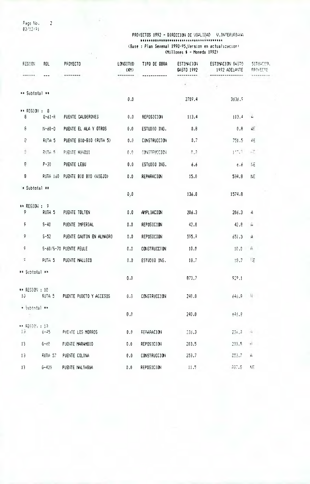Page No.<br>03/12/91

 $\overline{2}$ 

### PROYECTOS 1992 - DIRECCION DE VIALIDAD - V.INTERUEBALL (Base : Plan Sexenal 1990-95, Version en actualizacion)<br>(Millones \$ - Moneda 1992)

| REGION             | ROL               | <b>PROYECTO</b>                                    | <b>LONGITUD</b><br>(M) | TIPO DE OBRA        | ESTIMACION<br>GASTO 1992 | ESTIMACION GASTO<br>1992 ADELANTE | <b>SITUACTOR</b><br><b>FROYECTO</b> |
|--------------------|-------------------|----------------------------------------------------|------------------------|---------------------|--------------------------|-----------------------------------|-------------------------------------|
|                    |                   |                                                    |                        |                     |                          |                                   |                                     |
| ** Subtotal **     |                   |                                                    | 0.0                    |                     | $\mathcal{F}$ .          |                                   |                                     |
|                    |                   |                                                    |                        |                     | 2709.4                   | 3536.9                            |                                     |
| ** REGION : 8<br>8 | $Q - 61 - R$      | PUENTE CALDERONES                                  | 0.0                    | REPOSICION          | 113.4                    | $-113.4$                          | $\left  \right $                    |
| $\mathfrak{g}$     | $11 - 60 - 0$     | PUENTE EL ALA Y OTROS                              | 0.0                    | ESTUDIO ING.        | 0.8                      | 0,8                               | AE.                                 |
| a                  | RUTA <sub>5</sub> | PUENTE BIO-BIO (RUTA 5)                            | 0.0                    | <b>CONSTRUCCION</b> | 0,7                      | 751.5                             | ΔĘ                                  |
| 彦                  | <b>RUTA 5</b>     | PUENTE HUADUI                                      | $\{1, 3\}$             | CONSTRUCCION        | $\Omega_{\rm eff}$ .     | $1 - 1$                           | $\sim$ 7.                           |
| 8                  | $P - 30$          | PUENTE LEBU                                        | 0.0                    | ESTUDIO ING.        | 6.6                      | - 6.6                             | 115                                 |
| 8                  |                   | RUTA 160 PUENTE BIO BIO (VIEJO)                    | 0.0                    | REPARACION          | 15.0                     | 534.8                             | NE.                                 |
| * Subtotal **      |                   |                                                    | 0, 0                   |                     | 136.8                    | 1574.8                            |                                     |
| ** REGION : 9      |                   |                                                    |                        |                     |                          |                                   |                                     |
| 9.                 | RUTA <sub>5</sub> | PUENTE TOLTEN                                      | 0.0                    | AMPLIACION          | 206.3                    | 206.3                             | 4                                   |
| 9.                 | $S - 40$          | PUENTE IMPERIAL                                    | 0.0                    | REPOSICION          | 42.8                     | 42.8                              | Ä                                   |
| Ϋ.                 | $5 - 52$          | PUENTE CAUTIN EN ALMAGRO                           | 0.0                    | REPOSICION          | 595.9                    | 651.3                             | $\mathbf{A}$                        |
| 9                  |                   | S-60/S-70 PUENTE PEULE                             | 0.0                    | CONSTRUCCION        | 10.0                     | 10.0                              | A                                   |
| Ç.                 | RUTA 5            | PUENTE MALLECO                                     | $0.0$                  | ESTUDIO ING.        | 18.7                     | 18.7                              | 一样                                  |
| ** Subtotal **     |                   |                                                    | 0.0                    |                     | 873.7                    | 929.1                             |                                     |
| ** REGION : 10     |                   | 10 RUTA 5 PUENTE PUDETO Y ACCESOS 0.0 CONSTRUCCION |                        |                     | 240.0                    | $646.8$ $\frac{1}{6}$             |                                     |
| $+$ Subtotal **    |                   |                                                    | 0, 0                   |                     | 240.0                    | $-545.8$                          |                                     |
| ** REGION : 13     |                   | 13 6-45 PUERTE LOS MORROS                          | 0.0                    | reparacion          | 236.3                    | 234 35 44 5                       |                                     |
| $13 -$             |                   | 6-60 PUENTE MARAMBIO                               | 0.0                    | REPOSICION          | 203.5                    | 203.5                             | $+1$                                |
| 13 <sub>1</sub>    | ruta 57           | PUENTE COLINA                                      | 0.0                    | <b>CONSTRUCCION</b> | 253.7                    | 23.7                              | Ĥ                                   |
| 13 <sup>7</sup>    | 6-420             | PUENTE NALTAGUA                                    | 0.0                    | REPOSICION          | $-11.5$                  | 407.5                             | 새도                                  |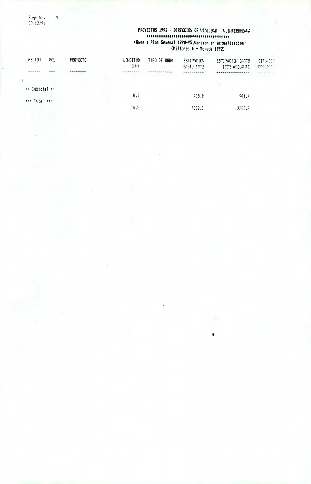Page No.<br>03:12/91

 $\overline{\mathbf{3}}$ 

### PROYECTOS 1992 - DIRECCION DE VIALIDAD V.INTERURBANA (Base : Plan Sexenal 1990-95, Version en actualizacion)<br>(Millones \$ - Moneda 1992)

 $\bullet$ 

| FEGION         | FCL. | <b>FROYECTO</b> | LONGITUD | TIPO DE OBRA    | <b>ESTIMACION</b> | ESTIMACION GASTO         | <b>SITIDETS</b>                              |
|----------------|------|-----------------|----------|-----------------|-------------------|--------------------------|----------------------------------------------|
|                |      |                 | (FM)     |                 | GASTO 1972        | 1982 ADELANTE            | $\mathrm{Im}\, \mathbb{Q}_1$ of $\mathbb{Z}$ |
|                | $-$  |                 | .        | THE REPLACEMENT | ----------        | ***************          | $-100 - 100$                                 |
|                |      |                 |          |                 |                   |                          |                                              |
| ** Subtotal ** |      |                 |          |                 |                   | $\mathcal{L}_{\rm{max}}$ |                                              |
|                |      |                 | 0.0      |                 | 705.0             | 501.4                    |                                              |
| 494 Total 949  |      |                 |          |                 |                   |                          |                                              |
|                |      |                 | 10.5     |                 | 7392.9            | 13262.71                 |                                              |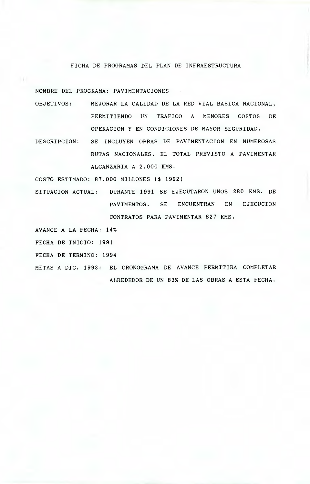#### FICHA DE PROGRAMAS DEL PLAN DE INFRAESTRUCTURA

NOMBRE DEL PROGRAMA: PAVIMENTACIONES

- OBJETIVOS: MEJORAR LA CALIDAD DE LA RED VIAL BASICA NACIONAL, PERMITIENDO UN TRAFICO A MENORES COSTOS DE OPERACION Y EN CONDICIONES DE MAYOR SEGURIDAD.
- DESCRIPCION: SE INCLUYEN OBRAS DE PAVIMENTACION EN NUMEROSAS RUTAS NACIONALES. EL TOTAL PREVISTO A PAVIMENTAR ALCANZARIA A 2.000 KMS.

COSTO ESTIMADO: 87.000 MILLONES (\$ 1992)

SITUACION ACTUAL: DURANTE 1991 SE EJECUTARON UNOS 280 KMS. DE PAVIMENTOS. SE ENCUENTRAN EN EJECUCION CONTRATOS PARA PAVIMENTAR 827 KMS.

AVANCE A LA FECHA: 14%

FECHA DE INICIO: 1991

FECHA DE TERMINO: 1994

METAS A DIC. 1993: EL CRONOGRAMA DE AVANCE PERMITIRA COMPLETAR ALREDEDOR DE UN 83% DE LAS OBRAS A ESTA FECHA.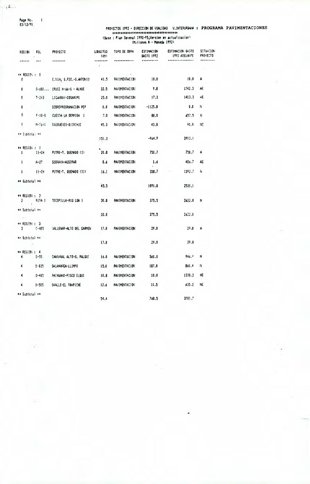Page No.<br>03/12/91

 $\blacksquare$ 

مناقهام

| REG10N                        | FOL       | PROYECTO                   | LONGITUD<br>(KN) | TIPO DE OBRA         | <b>ESTIMACION</b><br>6ASTO 1992 | ESTIMACION GASTO<br>1992 ADELANTE | <b>SITUACION</b><br>PROYECTO |
|-------------------------------|-----------|----------------------------|------------------|----------------------|---------------------------------|-----------------------------------|------------------------------|
|                               |           |                            | ------           |                      |                                 |                                   |                              |
| $\leftrightarrow$ REGION : 0  |           |                            |                  |                      | 10.0                            | 10.0                              | Α                            |
| 0                             |           | C.VIAL S.FDO.-S.ANTONIO    | 41.5             | PAVIMENTACION        |                                 |                                   |                              |
| O                             |           | 6-680 CRUCE H-66-6 - ALHUE | 32.5             | PAVIMENTACION        | 9.8                             | 1742.3                            | AË                           |
| O.                            | $1 - 243$ | LIGHRAY-COSARIPE           | 25.0             | PAVIMENTACION        | 17.3                            | 1403.3                            | AE                           |
| O                             |           | SOBREPROGRAMACION PCP      | 0.0              | PAVIMENTACION        | $-1125.8$                       | 0.0                               | N                            |
| 0                             |           | F-10-6 CUESTA LA DORMIDA I | - 7.0            | PAVIMENTACION        | 80.0                            | 657.5                             | н                            |
| £.                            |           | M-73-N CAUDUENES-DUIRIHUE  | 45.3             | PAVIMENTACION        | 43.8                            | 90.0                              | NЕ                           |
| ** Subtotal **                |           |                            | 151.3            |                      | $-964.9$                        | 3903.1                            |                              |
| ** REGION + 1<br>$\mathbf{1}$ | 11-CH     | PUTRE-T. QUEMADO (I)       | 20.8             | <b>PAVIMENTACIÓN</b> | 750.7                           | 750.7                             | A                            |
| Ŧ.                            | A-27      | Sobraya-Austpar            | <b>B.6</b>       | <b>PAVIMENTACION</b> | -1.6                            | 486.7                             | AE                           |
| $\mathbf{1}$                  | 11-CH     | PUTRE-T. QUEMADO (II)      |                  | 16.1 PAVIMENTACION   | 338.7                           | 1292.7                            | N                            |
| ** Subtotal **                |           |                            | 45.5             |                      | 1091.0                          | 2530.1                            |                              |
| ** REGION: 2                  | 2 RUTA 1  | TOCOPILLA-RIQ LOA I        | 30.0             | PAVIMENTACION        | 375.5                           | 2622.0                            | N                            |
| ** Subtotal **                |           |                            | 30.0             |                      | 375.5                           | 2622.0                            |                              |
| $\pm$ 1.<br>$+$ REGION : 3    |           |                            |                  |                      |                                 |                                   |                              |
|                               | 3 C-485   | 'Allevar-alto del Carmen'  | 17.0             | PAVIMENTACION        | 29.0                            | 29.0                              | А                            |
| ++ Subtotal →+                |           |                            |                  |                      |                                 |                                   |                              |
|                               |           |                            | 17.0             |                      | 29.0                            | 29.0                              |                              |
| ** REGION: : 4<br>4           | D-55      | CHASARAL ALTO-EL PALQUI    | 16.0             | <b>PAVIMENTACION</b> | 560.0                           | 946. <sup>9</sup>                 | N                            |
| 4                             | P-835     | SALANNICA-LLIMPO           | 15.0             | PAVIMENTACION        | 187.0                           | 860.4                             | Ħ.                           |
| 4                             | D-485     | PAIHUANO-PISCO ELQUI       | 10.8             | <b>PAVIMENTACION</b> | 10.0                            | 1338.2                            | ΝE                           |
| 4                             | D-505     | OJALLE-EL TRAPICHE         | 12.6             | PAVIMENTACION        | 11.5                            | 635.2                             | NE                           |
| ** Subtotal **                |           |                            | 54.4             |                      | 768.5                           | 3780.7                            |                              |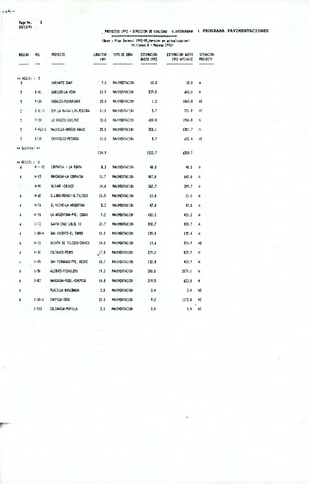سلفوم

Page No. 2

6

 $\delta$ 

 $\ddot{\bm{\delta}}$ 

 $\delta$ 

 $\dot{\delta}$ 

6

¢

 $\pmb{\delta}$  $\boldsymbol{\delta}$ 

 $\boldsymbol{\delta}$ 

đ

 $F - 36$ 

 $1 - 45$ 

 $1 - 50$ 

 $1 - 82$ 

 $1 - 30 - J$ 

 $1 - 332$ 

COLTAUCO-PEUMO

ALCONES-PICHILEMU

PLACILLA-RINCONADA

COLCHAGUA-PUPILLA

CHEPICA-TENO

SAN FERNANDO-PTE. NEGRO

NAKCAGUA-PUBU.-CHEPICA

 $03/12/91$ 

#### PROYECTOS 1992 - DIRECCION DE VIALIDAD V.INTERURBAVA : PROGRAMA PAVIMENTACIONES (Base : Plan Sexenal 1990-95, Version en actualizacion) (Hillones 6 - Moneda 1992)

**RE6101**  $R01$ PROYECTO LONGITUD TIPO DE OBRA **ESTIMACION** ESTIMACION GASTO SITUACION  $(101)$ GASTO 1992 1992 ADELANTE PRO+ECTO  $\ddotsc$ ------------...... --------------------------................ \*\*\*\*\*\*\*\*\* \*\* REGION : 5 VARIANTE EMP  $|7.0$ PAVIMENTACION  $10.0$  $10.0$  $\mathbf{A}$ -5  $\overline{\mathbf{5}}$  $E-41$ CABILDO-LA VEGA  $12.9$ PAUTHENTAC10N 539.0 643.0 A  $\overline{\mathbf{5}}$  $F - 20$ NOGALES-PUCHUNCAVI  $25.0$ PAUTHENTACTON  $1.2$ 1063.8 AE BIF.LA NRIGA-LIM.REGIONA PAVIMENTAL JON  $5.7$  $\overline{\mathbf{u}}$  $6 - 5i - 1$ 11.0  $721.8$  $\wedge$  $F - 50$ LO GROZCO-CUILPUE **PAVIMENTACION** 600.0 1986.0  $\overline{5}$  $33.0$  $\mathbf{R}$ F-962-6 MALVILLA-DRREGO ABAJO  $\overline{\mathbf{5}}$  $25.0$ PAVIMENTACION 358.1 1301.7  $\bar{\mathbf{H}}$  $\overline{5}$  $E - 35$ CHINCOLCO-PETORCA  $11.0$ PAUIMENTACION  $8.7$ 632.4  $N_{\rm L}$ \*\* Subtotal \*\*  $124.9$ 1522.7 6358.7 \*\* REGION : 6  $H - 15$ COMPASIA - LA PUNTA  $\pmb{\delta}$  $8.3$ PAVIMENTACION  $40.0$  $40.0$  $\mathsf{A}$  $H - 15$ RANCAGUA-LA COMPANIA **PAVIMENTACION** 407.0  $11.7$  $\boldsymbol{\delta}$ 643.8  $\epsilon$  $\overline{\phantom{a}}$  $H - 40$ OLIVAR -COINCO 14.6 **PAUTHENTACT ON**  $362.7$ 399.7 A  $H - 60$ C.LONG(RENGO)-0.TILCOCO  $11.5$ **PAVINEITACION**  $11.0$  $11.0$  $\mathbf{A}$  $\boldsymbol{\delta}$ EL NICHE-LA ARGENTINA  $h - 76$  $5.2$ PAVIMENTACION  $47.0$  $47.0$  $\mathsf A$  $H - 76$ LA ARGENTINA-PTE, CODAO  $7.2$ **PAVIMENTACION** 432.2 432.2 A  $1 - 72$ SANTA CRUZ LOLOL 11  $21.7$ PAVIMENTACION 830.7 830.7  $\boldsymbol{\mathsf{A}}$ SAN VICENTE-EL TAMBO  $i - 80 - h$ PAVIMENTACION 135.4  $11.0$ 135.4  $\mathbf{\hat{A}}$  $H - 33$ GUINTA DE TILCOCO-COINCO  $14.0$ PAVIMENTACION  $13.6$ 596.9 AE

 $^{17.0}$ 

 $10.7$ 

 $19.3$ 

14.8

 $2.0$ 

 $22.0$ 

 $2.1$ 

**PAVINENTACION** 

PAVIMENTAC10N

PAVIMENTACION

PAVIMENTACION

PAVIMENTACION

PAVIMENTACION

PAVIMENTACION

329.2

 $132.8$ 

 $208.0$ 

 $219.5$ 

 $3.4$ 

 $9.2$ 

 $3.4$ 

 $825.5$ 

438.9

 $2075.1$ 

623.8

 $3.4$ **NE** 

1175.8

 $\mathbf{N}$ 

 $\overline{\mathbf{N}}$ 

 $\dot{R}$ 

 $\mathbf N$ 

**NE** 

 $3.4$   $HE$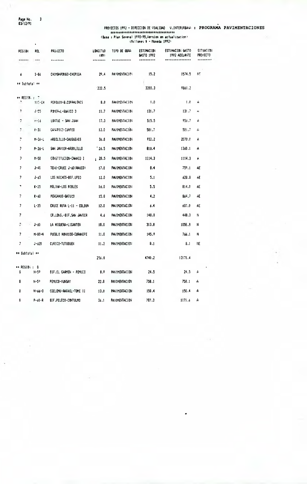Page No.<br>03/12/91

 $\overline{\mathbf{3}}$ 

Y.

# 

 $\bullet$ 

| REGION                            | ROL.         | PROVECTO                 | <b>LONGITUD</b><br>(M) | TIPD DE OBRA         | <b>ESTIMACION</b><br>GASTO 1992 | ESTINACION GASTO<br>1992 ADELANTE | <b>SITUACIDI</b><br><b>PROYECTO</b> |
|-----------------------------------|--------------|--------------------------|------------------------|----------------------|---------------------------------|-----------------------------------|-------------------------------------|
| ------                            | ---          |                          | ------                 |                      |                                 |                                   |                                     |
| 6                                 | $1 - 86$     | CHIMBARONGO-CHEPICA      | 29.4                   | PAUIMENTACIO:        | 15.2                            | 1574.5                            | 里                                   |
| ** Subtotal **                    |              |                          | 222.5                  |                      | 3200.3                          | 9861.2                            |                                     |
| $\leftrightarrow$ REGION : 7      |              |                          |                        |                      |                                 |                                   |                                     |
|                                   | 115-CH       | PERQUIN-B.COPPALOKES     | 0.0                    | PAVIMENTACTON        | 1.0                             | 1.0                               | Ĥ                                   |
| ,                                 | $J - 55$     | POMERAL-GUATCO 3         | 11.7                   | PAVIMENTACION        | 131.7                           | 131.7                             | ¥4                                  |
| 7                                 | $r - 16$     | LONTUE - SAN JUAN        | 17.3                   | <b>PAVIMENTACION</b> | 515.5                           | 956.7                             | A                                   |
| 7.                                | $V - 31$     | Cayari Co-cumpeo         | 12.0                   | <b>PAVIMENTACION</b> | 581.7                           | 581.7                             | A                                   |
| 7                                 | $M - 26 - L$ | ARBOLILLO-CAUQUEHES      | 36.D                   | <b>PAVIMENTACION</b> | 932.2                           | 2078.0                            | А                                   |
| 7                                 | M-26-L       | SAN JAVIER-ARBOLILLO     | 26.5                   | <b>PAVIMENTACION</b> | 819.4                           | 1360.1                            | A                                   |
| 7                                 | $M-50$       | CONSTITUCION-CHANCO I    | 128.5                  | PAVIMENTACION        | 1114.3                          | 1114.3                            | Ĥ                                   |
| 7                                 | J-46         | TEHO-CRUCE J-60 (RAUCD)  | 17.0                   | <b>PAVIMENTACION</b> | 8.4                             | 759.1                             | AE                                  |
| 7                                 | J-65         | LOS NICHES-BIF.UPEO      | 12.0                   | <b>PAVIMENTACION</b> | 5.1                             | 628.8                             | Æ                                   |
| ۰                                 | $K-25$       | MOLINA-LOS ROBLES        | 16.0                   | <b>PAVIMENTACION</b> | 5.5                             | 814.0                             | AE                                  |
| 7                                 | $4 - 60$     | PENCAHUE-BATUCO          | 15.0                   | <b>PAVIMENTACION</b> | 4.2                             | 864.7                             | AE.                                 |
| 7                                 | $L - 35$     | CRUCE RUTA L-11 - COLBUN | 12.0                   | PAVIMENTACION        | 6.4                             | 607.0                             | AE                                  |
| 7                                 |              | CR.LONG.-BIF.SAN JAVIER  | 4.6                    | PAVIMENTACION        | 148.0                           | 448.3                             | Ħ                                   |
| 7                                 | J-68         | la higuera-licanten      | 18.0                   | <b>PAVIMENTACION</b> | 313.8                           | 1056.8                            | н                                   |
| 7                                 | $M-80 - N$   | PUEBLO HUNDIDO-CURANIPE  | 11.0                   | PAVIMENTACION        | 145.9                           | 766.1                             | N                                   |
| 7                                 | $J - 620$    | CURICO-TUTUOUEN          | 11.2                   | PAVIMENTACION        | 8.1                             | 8.1                               | ΠE                                  |
| ** Subtotal **                    |              |                          |                        |                      |                                 |                                   |                                     |
|                                   |              |                          | 256.8                  |                      | 4740.2                          | 12175.4                           |                                     |
| $\leftrightarrow$ REGION : 8<br>s | N-59         | BIF EL CARMEN - PEMUCO   | 8.9                    | PAVIMENTACION        | 24.5                            | 24.5                              | А                                   |
| 8                                 | N-57         | PEMUCO-YUNGAY            | 22.0                   | <b>PAVIMENTACION</b> | 758.1                           | 758.1                             | A                                   |
| 8                                 | N-66-0       | COELEMU-RAFAEL-TOME II   | 13.0                   | PAVIMENTACI DI       | 150.4                           | 150.4                             | A                                   |
| 9                                 | P-60-R       | 81F, PELECO-CONTULMO     | 26.1                   | <b>PAVIMENTACION</b> | 707.3                           | 1171.6                            | A                                   |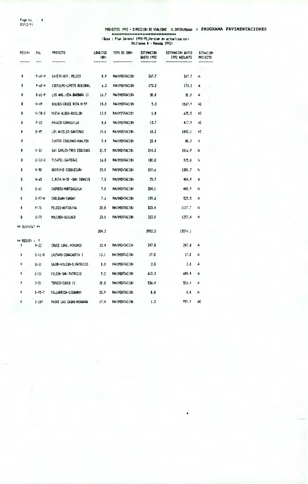$\overline{4}$ 

| PESIGN         | . AUL         | PPOYECTO                 | LONGITUD<br>(M) | TIPO DE OBRA         | ESTINACION<br>6A5TO 1992 | ESTIMACION GASTO<br>1992 ADELAITE | <b>SITINEION</b><br><b>PROVECTO</b> |          |
|----------------|---------------|--------------------------|-----------------|----------------------|--------------------------|-----------------------------------|-------------------------------------|----------|
| ,,,,,,         | ***           | --------                 | ------          | ************         |                          | *************                     |                                     | ******** |
| 8              | 1 P-60-P      | CASETE-BIF, PELECO       | 8.9             | <b>PAVIMENTACION</b> | 267.7                    | 267.7                             | A                                   |          |
| 8              | $P - 60 - R$  | CONTULMO-LIMITE REGIONAL | 6.3             | PAVIMENTACION        | 173.2                    | 173.2                             | A                                   |          |
| 8              | $0 - 61 - P$  | LOS ANG.-STA.BARBARA II  | 16.7            | <b>PAVIMENTACION</b> | 30.0                     | 30.0                              | А                                   |          |
| 8              | H-69          | BULHES-CRUCE RUTA N-59   | 18.0            | PAVIMENTACION        | 5.3                      | 1067.9                            | Æ                                   |          |
| 8              | $11 - 78 - 0$ | NUEJA ALDEA-OUILLON      | 12.0            | PAVIMENTACION        | 1.8                      | 625.5                             | AE                                  |          |
| 8              | $P - 22$      | ARAUCO-CURAQUILLA        | 8.0             | PAVIMENTACION        | 13.7                     | 417.9                             | AE                                  |          |
| 8              | $0 - 45$      | LOS ANGELES-CANTERAS     | 19.0            | PAVIMENTACION        | 18.2                     | 1843.1                            | 45                                  |          |
| 8              |               | CUATRO ESQUINAS-HUALPEN  | 5.4             | PAVIMENTACION        | 22.4                     | 80.2                              | Ħ                                   |          |
| 8              | $(1 - 3)$     | SAN CARLOS-TRES ESQUINAS | 21.5            | <b>PAVIMENTACION</b> | 214.2                    | 1016.9                            | N                                   |          |
| 8              | $1 - 33 - 0$  | TUCAPEL-CALITERAS        | 16.0            | <b>PAVIMENTACION</b> | 180.0                    | 925.0                             | N                                   |          |
| 8              | $N - 50$      | QUIRIHJE-COBQUECURA      | 35.0            | PAVIMENTACION        | 319.6                    | 1281.7                            | N                                   |          |
| 8              | $N - 65$      | C.RUTA N-59 -SAN IGNACIO | 7.0             | PAVIMENTACION        | 75.7                     | 404.9                             | и                                   |          |
| 8              | $0 - 60$      | CABRERO-MONTEAGUILA      | 7.0             | <b>PAVIMENTACION</b> | 204.1                    | 440.9                             | N                                   |          |
| s              | $0 - 97 - N$  | CHOLGUAN-YUNGAY          | 7.6             | <b>PAVIMENTACION</b> | 190.6                    | 525.5                             | N                                   |          |
| 8              | $F - 70$      | PELECO-AITIOUNA          | 22.8            | PAVIMENTACION        | 323.4                    | 1137.7                            | N                                   |          |
| 8              | $0 - 75$      | MULCHEN-QUILACO          | 23.0            | PAVIMENTACION        | 222.0                    | 1253.4                            | N                                   |          |
| ≢∓ Subtotal ** |               |                          | 304.2           |                      | 3902.2                   | 13596.1                           |                                     |          |
| ** REGION :  ⊽ |               |                          |                 |                      |                          |                                   |                                     |          |
| 9.             | $R - 22$      | CRUCE LONG. -MININCO     | 12.4            | <b>PAVIMENTACIÓN</b> | 247.8                    | 247.8                             | A                                   |          |
| 9              | $5 - 11 - R$  | LAUTARD-CURACAUT IN T    | 13.1            | Pauthentacion        | 17.0                     | 17.0                              | A                                   |          |
| ç              | $5 - 31$      | CAJON-VILCUN-S.PATRICIO  | 0.0             | PAVIMENTACION        | 2.0                      | 2.0                               | A                                   |          |
| 9              | $9 - 31$      | VILCUN-SAN PATRICIO      | 9.2             | PAVIMENTACION        | 613.3                    | 680.4                             | A                                   |          |
| ò              | $5 - 51$      | TEMUCO-CUNCO II          | 20.0            | PAVIMENTACION        | 536.4                    | 536.4                             | A                                   |          |
| ç              | $5 - 95 - 1$  | VILLARRICA-LICANRAY      | 23.9            | <b>PAVIMENTACION</b> | 0.8                      | 0.8                               | A                                   |          |
| ŷ              | $5 - 267$     | PADRE LAS CASAS-NIAGARA  | 17.4            | <b>PAVIMENTACION</b> | 1.2                      | 955.9                             | AE                                  |          |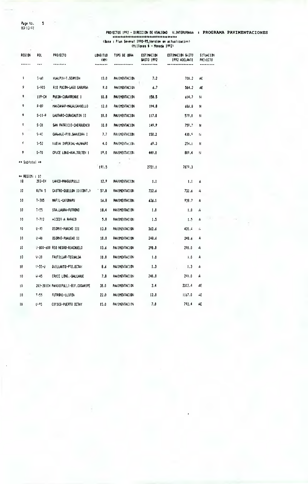$\sim$ 

#### PROYECTOS 1992 - DIRECCION DE VIALIDAD V.INTERUPBAVA : PROGRAMA PAVIMENTACIONES EXECUTE PRODUCED CONTRACTOR (Millones \$ - Moneda 1992)

**REGION** R0L **PROYECTO** LONGITUD TIPO DE OBRA **ESTIMACION** ESTIMACION GASTO **SITUACION**  $(M)$ 645T0 1992 1992 ADELANTE PROTECTO  $\overline{\phantom{a}}$  $\sim$  $\frac{1}{2}$  $\overline{\phantom{a}}$  $...............$ ----------------------------------- $\hat{\mathbf{y}}$ HUALPIN-T.SCHNIDH **PAVIMENTACION**  $5 - 60$  $13.0$  $7.2$ 700.2 AF  $\overline{9}$  $S - 905$ R10 PUCON-LAGO CABURGA  $9.0$ PAVIMENTACION  $6,7$ 584.2 AE  $\bullet$ 119-CH PUCON-CURARREHUE I  $10.8$ PAVIMENTACION 158.5 614.7  $\overline{\mathbf{R}}$  $\ddot{\mathbf{Q}}$  $F - 89$ MAKZAHAR-MALALCAHUELLO  $12.0$ PAVIMENTACION 194.8 686.8  $\overline{\mathsf{N}}$  $\bullet$  $S-11-P$ LAUTARO-CURACAUT IN 11 **PAVIMENTACION**  $10.0$  $117.0$ 579.0  $\mathcal{N}$ ç  $S - 31$ SAN PATRICIO-CHERQUENCO  $10.0$ **PAULIMENTACION** 149.9 759.7 Ń  $5 - 40$ CARHHUE-PTO.SAAVEDRA I ç  $7.7$ PAVIMENTACION 150.2 439.9 ti. ċ  $5 - 52$ NUEVA IMPERIAL-ALMAGRO  $4,0$ PAVINENTACION 69.3  $254.1$  $\boldsymbol{R}$ **CRUCE LONG-HAA.TOLTEN 1** PAVIMENTACION  $\overline{9}$  $5 - 70$  $19.0$ 809.4 449.0  $\mathcal{H}% _{0}\left( t\right) \equiv\mathcal{H}_{0}\left( t\right)$ \*\* Subtotal \*\* 191.5 7879.3 2721.1 \*\* REGION : 10  $203 - CH$ LANCO-PANGUIPULLI  $12.9$ PAVIMENTACION 10  $1.1$  $1.1$ A RUTA<sub>5</sub> CASTRO-QUELLON II(CONT.)  $57.8$ PAVIMENTACION 732.6  $10\,$ 732.6 A  $T - 305$ MAFIL-CAYUMAPU  $10$ 16.8 **PAVIMENTACION** 636.1 938.7 A  $10\,$  $7 - 55$ STA.LAURA-FUTRONO 18.4 PAVIMENTACION  $1.0$  $1.0\,$  $\hat{A}$  $\pm 0$  $1 - 712$ ACCESO A RAFACO  $5.8$ PAVIMENTACION  $1.5$  $1.5$ A  $10$  $1 - 40$ 050PHO-PUACHO III  $13.0$ PAVIMENTACION 362.6  $420.4$  $\tilde{G}$ OSORNO-PUAUCHO 11  $10$  $U - 40$  $10.0$ PAVIMENTACION 248.6 248.6 A  $10$ U-800-600 RIO NEGRO-RIACHUELO PAVINERTACION 290.0 290.0  $13.6$  $\ddot{a}$  $10$  $V - 20$ FRUTILLAR-TEGUALDA  $10.0$ PAVIMENTACION A  $1.0$  $1.0$  $10$  $9 - 55 - i$ QUILLANTO-PTO.OCTAY  $6.6$ PAVIMENTACION  $1.3$  $1.3$  $\mathbf{A}$  $\mathbf{10}$  $U - 45$ CRUCE LONG. - DALCAHUE  $7,8$ PAVIMENTACION  $240.0$  $240.0$ A  $1\,\mathrm{G}$ 203-201CH PANGUIPULLT-BIF.COSARIPE  $30.0$ PAVIMENTACION  $2.4$ 2312.4 AF.  $\mathbf{10}$  $T - 55$ FUTRONG-LL1FEN  $22.0$ PAVIMENTACION  $12.0$ 1167.0 AE COSICO-PUERTO OCTAY PAVIMENTACION 792.4 AE  $11 - 25$  $7.0$  $10$  $15.0$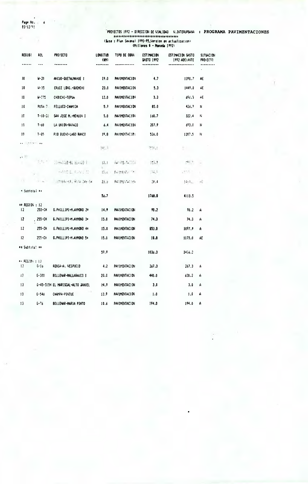Page No. ...<br>03/12/91

 $\mathcal{L} = \mathcal{L}$ 

÷.

 $\ddot{\bullet}$ 

| <b>REGION</b><br>. | RPL.<br>$- - -$ | <b>PROYECTO</b><br>               | LONGITUD<br>(M)<br>******** | tipo de Obra         | ESTIMACION<br>GASTO 1992<br>********** | ESTIMACION GASTO<br>1992 ADELAITE | <b>SITUACION</b><br>PRD ECTO<br>--------- |
|--------------------|-----------------|-----------------------------------|-----------------------------|----------------------|----------------------------------------|-----------------------------------|-------------------------------------------|
|                    |                 |                                   |                             |                      |                                        |                                   | $\ddot{\phantom{0}}$                      |
| 10                 | W-20            | ANCUD-QUETALMAHUE I               | 19.0                        | <b>PAVIMENTACION</b> | 4,7                                    | 1390.7                            | AE                                        |
| 10                 | $14 - 35$       | CRUCE LONG. - QUEMCHI             | 23.0                        | <b>PAVIMENTACION</b> | 5.3                                    | 1449.0                            | ÁË                                        |
| Ιû                 | $4 - 75$        | CHONCHI-TEPUA                     | 12.0                        | <b>PAVIMENTACION</b> | 3.3                                    | 696.3                             | AE                                        |
| 10                 | RUTA 7.         | FELLUCO-CHAMIZA                   | 5.9                         | PAVIMENTACION        | 85.0                                   | 426.7                             | Ħ                                         |
| 10                 | $1 - 18 - 20$   | SAN JDSE M. HEHUIN I              | 5.0                         | <b>PAVIMENTACION</b> | 160.7                                  | 322.4                             | Ν                                         |
| 10                 | T-60            | la unidi-rafalo                   | 6.4                         | <b>PAVIMENTACION</b> | 207.9                                  | 693.0                             | N                                         |
| 10                 | $T - 85$        | PIO BUENO-LAGO RANCO              | 19.8                        | PAVIND TALID!        | 526.0                                  | 1207.5                            | N                                         |
|                    |                 |                                   | 945.9                       |                      | 化苯基                                    | M. 11                             |                                           |
|                    |                 | The file and an aff it            | 15.1                        | Contractor (2014)    | 17.1.7                                 | $\mathcal{F}$                     |                                           |
|                    |                 | within L. Auto L. M.              | $15.4 -$                    | <b>NOTED IN THE</b>  | 74,7                                   | $10 - 4$                          |                                           |
|                    | 10 Hz           | 山平阳泉河南 新鲜过敏河南                     | 23.0                        | 探出的问题。               | 20.4                                   | The Controller                    |                                           |
| * Subtotaì →→      |                 |                                   | 56.7                        |                      | 1768.8                                 | 4113.5                            |                                           |
| ** REGION : 12     |                 |                                   |                             |                      |                                        |                                   |                                           |
| 12                 | 255-CH          | G.PHILLIPI-M.AYMOND 2*            | 14.9                        | PAVIMENTACION        | 90.2                                   | 90.2                              | А                                         |
| 12                 | 255-CH          | 6.PHILLIPI-M.AYMOND 3*            | 15.0                        | PAVIMENTACION        | 74.3                                   | 74.3                              | A                                         |
| 12                 | 255-CH          | G.PHILLIPI-M.AYMOND 4#            | 15.0                        | PAVINENTACION        | 853.0                                  | 1097.9                            | A                                         |
| 12                 | 255-CH          | G.PHILLIPI-M.AYMOND 5*            | 15.0                        | PAVIMENTACION        | 18.9                                   | 1173.8                            | AE                                        |
| ** Subtota! **     |                 |                                   | 59.9                        |                      | 1036.3                                 | 2456.2                            |                                           |
| ** PEGIDV : 13     |                 |                                   |                             |                      |                                        |                                   |                                           |
| -13                | $6 - 10$        | RENCA-A. VESPUCID                 | 4.2                         | <b>PAVIMENTACION</b> | 267.3                                  | 267.3                             | A                                         |
| $\mathbf{1}$       | 6-380           | BOLLENAR-MALLARAUCO I             | 20.0                        | PAVINDITACION        | 440.0                                  | 620.2                             | А                                         |
| 13                 |                 | G-45-515H EL MARISCAL-ALTO JAHUEL | 14.9                        | PAVIMENTACION        | 3.0                                    | 3.0                               | A                                         |
| 13                 | $6 - 546$       | CHAMPA-PINTUE                     | 12.9                        | <b>PAVINDITACION</b> | 1.0                                    | 1.0                               | A                                         |
| 13.                | 6-76            | ROLLENAR-MARIA PINTO              | 10.6                        | PAVINENTACION        | 194.0                                  | 194.0                             | А                                         |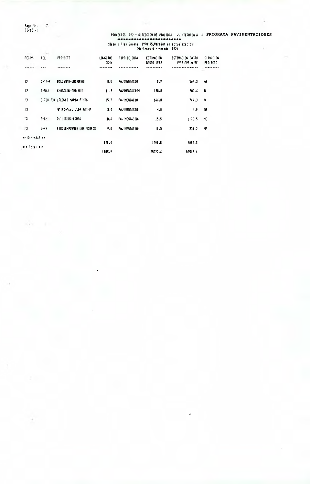Page No. 12.<br>03/12/91

×.

÷.

|                      | $-1.01$      |                               |                  |                      |                                 |                                   |                                          |
|----------------------|--------------|-------------------------------|------------------|----------------------|---------------------------------|-----------------------------------|------------------------------------------|
| PEGIC!               | POL          | <b>PROYECTO</b>               | LONGITUD<br>(N!) | TIPO DE OBRA         | <b>ESTIMACION</b><br>GASTO 1992 | ESTINGETON GASTO<br>1992 ADELAITE | <b>STUACION</b><br>PPO <sub>1</sub> ECTO |
|                      |              |                               |                  |                      |                                 |                                   |                                          |
| 13                   | $6 - 74 - F$ | BOLLENAR-CHOROMBO             | 8.0              | <b>PAVIMENTACION</b> | 9.9                             | 564.3                             | AE                                       |
| 13                   | $6 - 546$    | CHOCALAN-CHOLOUI              | 11.5             | <b>PAVIMENTACION</b> | 188.8                           | 783.6                             | N                                        |
| 13                   |              | 6-730-734 LOLENCO-NARJA PINTO | 15.7             | <b>PAVIMENTACION</b> | 166.8                           | 744.3                             | Ħ                                        |
| 13                   |              | MAIPO-Acc. V.DE PAINE         | 5.0              | <b>PAVIMENTACION</b> | 4.0                             | 4.0                               | ΗE                                       |
| 13                   | $6 - 1c$     | OUILICURA-LAMFA               | 1B.6             | PAVIMENTATION        | 15.5                            | 1170.5                            | <b>NE</b>                                |
| $\mathbf{1}$         | $6 - 47$     | PIRQUE-PUENTE LOS MORROS      | 9.0              | <b>PAVIMENTACION</b> | 11.5                            | 531.2                             | NE                                       |
| ** Subtotal **       |              |                               |                  |                      |                                 |                                   |                                          |
| <b>BID Total RED</b> |              |                               | 130.4            |                      | 1301.8                          | 4883.5                            |                                          |
|                      |              |                               | 1985.9           |                      | 25922.6                         | 87505.4                           |                                          |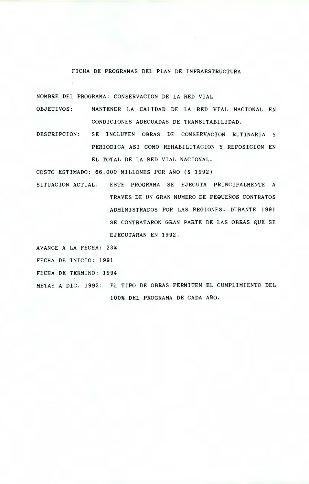#### FICHA DE PROGRAMAS DEL PLAN DE INFRAESTRUCTURA

NOMBRE DEL PROGRAMA: CONSERVACION DE LA RED VIAL

- OBJETIVOS: MANTENER LA CALIDAD DE LA RED VIAL NACIONAL EN CONDICIONES ADECUADAS DE TRANSITABILIDAD.
- DESCRIPCION: SE INCLUYEN OBRAS DE CONSERVACION RUTINARIA Y PERIODICA ASI COMO REHABILITACION Y REPOSICION EN EL TOTAL DE LA RED VIAL NACIONAL.

COSTO ESTIMADO: 66.000 MILLONES POR AÑO (\$ 1992)

SITUACION ACTUAL: ESTE PROGRAMA SE EJECUTA PRINCIPALMENTE A TRAVES DE UN GRAN NUMERO DE PEQUEÑOS CONTRATOS ADMINISTRADOS POR LAS REGIONES. DURANTE 1991 SE CONTRATARON GRAN PARTE DE LAS OBRAS QUE SE EJECUTARAN EN 1992.

AVANCE A LA FECHA: 23%

FECHA DE INICIO: 1991

FECHA DE TERMINO: 1994

METAS A DIC. 1993: EL TIPO DE OBRAS PERMITEN EL CUMPLIMIENTO DEL 100% DEL PROGRAMA DE CADA AÑO.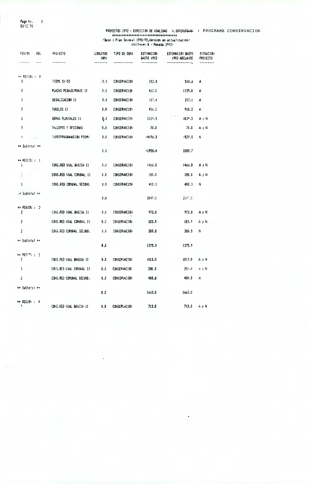Page No.<br>03/12/91

 $\mathcal{A}(\mathcal{C})$ 

 $\overline{1}$ 

| PEG104<br>ROL.<br>$- - -$<br>****** | <b>FFO(ECTD</b><br>      | <b>LONGITUD</b><br>(KN) | TIPD DE OBRA        | <b>ESTINACION</b><br>645TO 1992 | ESTIMACION GASTO<br><b>1992 ADELANTE</b> | <b>SITUACIO:</b><br><b>PROYECTO</b> |
|-------------------------------------|--------------------------|-------------------------|---------------------|---------------------------------|------------------------------------------|-------------------------------------|
|                                     |                          | ------                  |                     |                                 |                                          |                                     |
| $\leftrightarrow$ PEGION : 0        |                          |                         |                     |                                 |                                          |                                     |
| 0                                   | ITEMS 51-52              | $\sqrt{0.0}$            | <b>CONSERVACION</b> | 102.8                           | 518.6                                    | A                                   |
| 0                                   | PLAZAS PESAJE/PEAJE 11   | 0.0                     | <b>CONSERVACION</b> | 462.0                           | 1155.0                                   | A                                   |
| Ũ                                   | SESALIZACION II          | 0.0                     | CONSERVACTON        | 107.4                           | 217.1                                    | А                                   |
| 0                                   | <b>TURELES II</b>        | 0.0                     | <b>CONSERVACION</b> | 456.2                           | 918.2                                    | A                                   |
| 0                                   | OBPAS FLUVIALES 11       | Q.O                     | <b>CONSERVACION</b> | 1039.5                          | 103°.5                                   | AyN                                 |
| o                                   | TALLERES Y OFICINAS      | 0,0                     | CONSERVACION        | 70,0                            | 70.0                                     | AyN                                 |
| 4<br>$\sim$                         | SUBREPROGRAMACION PICHU  | 0.0                     | <b>CONSERVACTON</b> | $-1196.3$                       | $-529.3$                                 | н                                   |
| ** Subtotal **                      |                          | 0.0                     |                     | -1958.4                         | 3388.7                                   |                                     |
| $\leftrightarrow$ PEGICN : 1        |                          |                         |                     |                                 |                                          |                                     |
| $\mathbf{1}$                        | CONS.RED VIAL BASICA II  | 0.0                     | CONSERVACION        | 1466.8                          | 1466.8                                   | AyN                                 |
|                                     | CONS.RED VIAL COMUNAL II | 0.0                     | conservacion        | 180.0                           | 180.0                                    | AyN                                 |
| 1                                   | CONS.RED COMUNAL SECUND. | 0.0                     | <b>CONSERVACION</b> | 400.3                           | 400.3                                    | Ν                                   |
| → Subtotal **                       |                          | 0.0                     |                     | 2047.1                          | 2647.1                                   |                                     |
| <b>## REGION : 2</b>                |                          |                         |                     |                                 |                                          |                                     |
| $\overline{2}$                      | COIS FED VIAL BASICA II  | 0.0                     | <b>CONSERVACION</b> | 972.0                           | 972.0                                    | AγH                                 |
| 2                                   | CONS.RED VIAL COMUNAL II | 0.0                     | CONSERVAÇION        | 103.9                           | 103.9                                    | ΑγN.                                |
| 2                                   | CONS.RED COMUNAL SECUND. | 0.0                     | CONSERVACION        | 300.0                           | 300.0                                    | N                                   |
| ** Subtotal **                      |                          | 0.0                     |                     | 1375.9                          | 1375.9                                   |                                     |
| $\leftrightarrow$ REGION $\pm$ 2    |                          |                         |                     |                                 |                                          |                                     |
| ş.                                  | CONS.FED VIAL BASICA II  | O.D                     | conservacion        | 1013.0                          | 1013.0                                   | AγN                                 |
| 3                                   | CONS.RED VIAL CONDAL II  | 0.0                     | conservacion        | 250.0                           | 250.0                                    | a y N                               |
| 3                                   | CONS.RED COMUNAL SECUND. | 0.0                     | CONSERVACION        | 400.0                           | 400.D                                    | N                                   |
| ** Subtotal **                      |                          | D.O                     |                     | 1663.0                          | 1663.0                                   |                                     |
| ** REGION : 4<br>1                  | CONS.RED VIAL BASICA II  | 0,0                     | <b>CONSERVACION</b> | 713.0                           | 713.0                                    | みと付                                 |
|                                     |                          |                         |                     |                                 |                                          |                                     |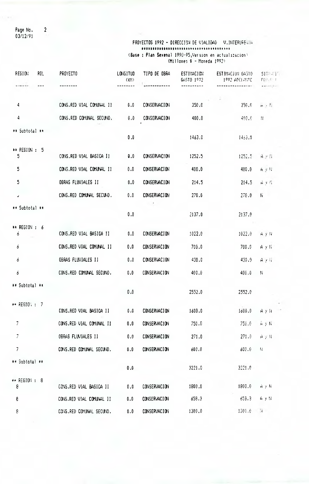Page No.<br>03/12/91

 $\overline{2}$ 

PROYECTOS 1992 - DIRECCION DE VIALIDAD V.INTERUFENIA (Base: Plan Sexenal 1990-95, Version en actualizacion)<br>(Millones 4 - Moneda 1992)

| REGION<br>ROL                   | PROYECTO                 | LONGITUD<br>(KH)            | TIPO DE OBRA        | ESTIMACION<br>GASTO 1972 | ESTIMACION GASTO<br>1992 APELANTE | SITELETT<br>$\Pr[\mathcal{V}, \mathcal{V}]$ f |
|---------------------------------|--------------------------|-----------------------------|---------------------|--------------------------|-----------------------------------|-----------------------------------------------|
| $-0.128$                        |                          | $\frac{1}{2}$               |                     | ----------               |                                   | <b>COMPANY</b>                                |
| 4                               | CONS.RED VIAL COMUNAL II | 0.0                         | CONSERVACION        | 350.0                    | 350.0                             | $\mathbf{H} \neq \mathbf{H}$                  |
| 4                               | CONS.RED COMUNAL SECUND. | 0.0                         | <b>CONSERVACION</b> | 400.0                    | 400.0                             | $\mathcal{W}$                                 |
| ** Subtotal **                  |                          | 0.0                         |                     | 1463.0                   | 1453.0                            |                                               |
|                                 |                          |                             |                     |                          |                                   |                                               |
| ** REGION : 5<br>5 <sup>5</sup> | CONS.RED VIAL BASICA II  | $\mathbf{Q}$ , $\mathbf{0}$ | <b>CONSERVACION</b> | 1252.5                   | 1252.5                            | $4 \times 11$                                 |
| 5                               | CONS.RED VIAL COMUNAL II | 0.0                         | <b>CONSERVACION</b> | 400.0                    | 400.0                             | 有更好                                           |
| $5\phantom{.0}$                 | OBRAS FLUVIALES II       | 0.0                         | <b>CONSERVACION</b> | 214.5                    | 214.5                             | 音叉得                                           |
| $\pmb{\pmb{\cup}}$              | CONS.RED COMUNAL SECUND. | 0.0                         | <b>CONSERVACION</b> | 270.0                    | 270.0                             | N.                                            |
| ** Subtotal **                  |                          | 0.0                         |                     | 2137.0                   | 2137.0                            |                                               |
| ** REGION : 6                   |                          |                             |                     |                          |                                   |                                               |
| 6                               | CONS.RED VIAL BASICA II  | 0.0                         | <b>CONSERVACION</b> | 1022.0                   | 1022.0                            | AyN                                           |
| $\overline{6}$                  | CONS.RED VIAL COMUNAL II | 0.0                         | <b>CONSERVACION</b> | 700.0                    | 700.0                             | $A \times H$                                  |
| $\epsilon$                      | OBRAS FLUVIALES II       | 0.0                         | CONSERVACION        | 430.0                    | 430.0                             | $A \times K$                                  |
| 6                               | CONS.RED COMUNAL SECUND. | 0.0                         | <b>CONSERVACION</b> | 400.0                    | 400.0                             | N                                             |
| ** Subtotal **                  |                          | 0.0                         |                     | 2552.0                   | 2552.0                            |                                               |
| ** REGION: : 7                  |                          |                             |                     |                          |                                   |                                               |
|                                 | CONS.RED VIAL BASICA II  | 0.0                         | <b>CONSERVACION</b> | 1600.0                   | 1600.0                            | $A \times W$                                  |
| $\overline{7}$                  | CONS.RED VIAL COMUNAL II | 0.0                         | <b>CONSERVACION</b> | 750.0                    | 750.0                             | AyN                                           |
| 7                               | OBRAS FLUVIALES II       | 0.0                         | <b>CONSERVACION</b> | 271.0                    | 271.0                             | $\Theta\rightarrow\Theta$                     |
| $\overline{\mathcal{L}}$        | CONS.RED COMUNAL SECUND. | 0.0                         | <b>CONSERVACION</b> | 600.0                    | 600.0                             | $\mathcal{W}$                                 |
| ** Subtotal **                  |                          | 0.0                         |                     | 3221.0                   | 3221.0                            |                                               |
| ** REGION : 8<br>8              | CONS.RED VIAL BASICA II  | 0.0                         | <b>CONSERVACION</b> | 1800.0                   | 1800.0                            | AyN                                           |
| 8                               | CONS.RED VIAL COMUNAL II | 0.0                         | <b>CONSERVACION</b> | 658.3                    | 653.3                             | A y N                                         |
| 8                               | CONS.RED COMUNAL SECUND. | 0.0                         | <b>CONSERVACION</b> | 1300.0                   | 1300.0                            | $\mathcal{M}$ .                               |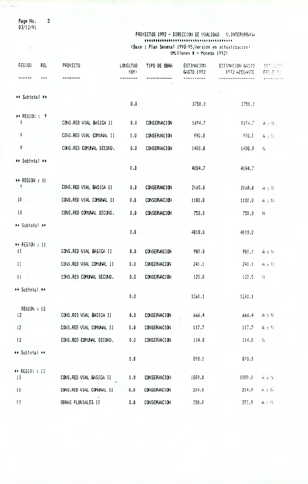Page No.<br>03/12/91  $\overline{\mathbf{3}}$ 

 $\omega$ 

 $\frac{1}{2}$ 

### PROYECTOS 1992 - DIRECCION DE VIALIDAD V.INTERURBANA (Base : Plan Sexenal 1990-95,Version en actualización)<br>(Millones \$ - Moneda 1992)

| FE610H                            | ROL | PROYECTO                 | <b>LONGITUD</b><br>(104)    | TIPO DE OBRA        | ESTIMACION<br>64510 1992 | ESTINACION GASTO<br>1992 ADELANTE | 모두 고르<br>FFI E T          |
|-----------------------------------|-----|--------------------------|-----------------------------|---------------------|--------------------------|-----------------------------------|---------------------------|
|                                   |     |                          |                             |                     |                          |                                   |                           |
| ** Subtotal #*                    |     |                          |                             |                     |                          |                                   |                           |
|                                   |     |                          | 0.0                         |                     | 3758.3                   | 3759.3                            |                           |
| ** REGION: : 9<br>۶               |     | CONS.RED VIAL BASICA II  | 0.0                         | CONSERVACION        | 1694.7                   | 1674.7                            | $A$ , $W$                 |
| 9                                 |     | CONS.RED VIAL COMUNAL II | 0.0                         | CONSERVACION        | 990.0                    | 990.0                             | $A \times N$              |
| 9                                 |     | CONS.RED COMUNAL SECUND. | 0.0                         | <b>CONSERVACION</b> | 1400.0                   | 1400.0                            | $\mathbb{H}$              |
| ** Subtotal **                    |     |                          |                             |                     |                          |                                   |                           |
|                                   |     |                          | 0.0                         |                     | 4084.7                   | 4084.7                            |                           |
| ** REGION : 10<br>۹               |     | CONS.RED VIAL BASICA II  | 0.0                         | <b>CONSERVACION</b> | 2169.0                   | 2168.0                            | $H \times K$              |
| 10                                |     | CONS.RED VIAL COMUNAL II | 0.0                         | <b>CONSERVACION</b> | 1100.0                   | 1100.0                            | $A \rightarrow H$         |
| 10                                |     | CONS.RED COMUNAL SECUND. | 0.0                         | CONSERVACION        | 750.0                    | 750.0                             | $\boldsymbol{\mathsf{N}}$ |
| ** Subtotal **                    |     |                          |                             |                     |                          |                                   |                           |
|                                   |     |                          | $\mathbf{0}$ . $\mathbf{0}$ |                     | 4018.0                   | 4019.0                            |                           |
| ** REGION : 11<br>$\overline{11}$ |     | CONS.RED VIAL BASICA II  | 0.0                         | CONSERVACION        | 900.0                    | 900.9                             | AyN                       |
| 11                                |     | CONS.RED VIAL COMUNAL II | 0.0                         | CONSERVACION        | 241.1                    | 241.1                             | $A \rightarrow W$         |
| 11                                |     | CONS.RED COMUNAL SECUND. | 0.0                         | <b>CONSERVACION</b> | 120.0                    | 120.5                             | 11                        |
| ** Subtotal **                    |     |                          |                             | $\sim 10$           |                          |                                   |                           |
|                                   |     |                          | $\mathbf{0}$ . $\mathbf{0}$ |                     | 1261.1                   | 1261.1                            |                           |
| REGION : 12<br>12                 |     | CONS.RED VIAL BASICA II  | 0.0                         | CONSERVACION        | 666.4                    | 666.4                             | $A \times N$              |
| 12                                |     | CONS.RED VIAL COMUNAL II | 0.0                         | <b>CONSERVACION</b> | 117.7                    | 117.7                             | AyH                       |
| 12                                |     | CONS.RED COMUNAL SECUND. | 0.0                         | <b>CONSERVACION</b> | 114.0                    | 114.9                             | $\mathbf{N}$              |
| ** Subtotal **                    |     |                          |                             |                     |                          |                                   |                           |
|                                   |     |                          | 0.0                         |                     | 898.1                    | 878.1                             |                           |
| ** REGION: : 13<br>13             |     | CONS.RED VIAL BASICA II  | 0.0                         | <b>CONSERVACION</b> | 1800.0                   | 1900.0                            | $H \times H$              |
| 13                                |     | CONS.RED VIAL COMUNAL II | 0.0                         | <b>CONSERVACION</b> | 214.8                    | 214.8                             | $A \uparrow L$            |
| 13                                |     | OBRAS FLUVIALES II       | 0.0                         | CONSERVACION        | 258.0                    | 359.0                             | $A \times H$              |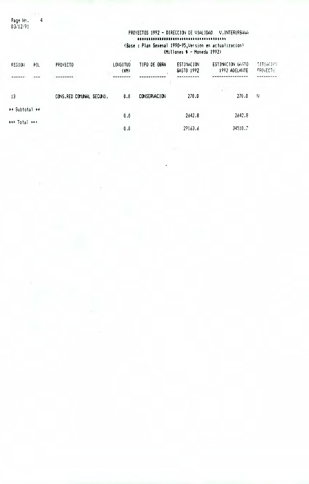Page No.<br>03/12/91

 $\overline{4}$ 

### PROYECTOS 1992 - DIRECCION DE VIALIDAD V.INTERURBANA (Base : Plan Sexenal 1990–95, Version en actualizacion)<br>(Millones \$ - Moneda 1992)

| <b>FEGION</b>  | FOL | <b>PROYECTO</b>           | <b>LONGITUD</b><br>(KM) | TIPO DE OBRA        | ESTINACION<br>GASTO 1992 | ESTIMACION GASTO<br>1992 ADELANTE | <b>SITIACIOU</b><br><b>PROYECTO</b> |
|----------------|-----|---------------------------|-------------------------|---------------------|--------------------------|-----------------------------------|-------------------------------------|
|                |     |                           |                         |                     |                          |                                   |                                     |
| 13             |     | CONS, RED COMUNAL SECUND. | 0.0                     | <b>CONSERVACION</b> | 270.0                    | 270.0                             | -H                                  |
| ** Subtotal ** |     |                           |                         |                     |                          |                                   |                                     |
|                |     |                           | 0.0                     |                     | 2642.8                   | 2642.8                            |                                     |
| *** Total ***  |     |                           |                         |                     |                          |                                   |                                     |
|                |     |                           | 0.0                     |                     | 29163.6                  | 34510.7                           |                                     |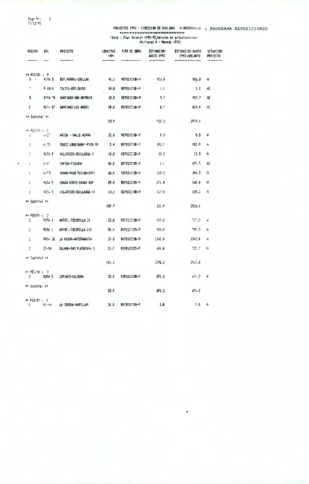Page No.<br>03/12/91  $\mathbf{1}$ 

### PROVECTOS 1992 - CIRECCION DE VIALIDAD - U.INTEPUERMA : PROGRAMA REPOSICIONES

| <b>MEDIUM</b>                  | ROL.           | <b>PROYECTO</b>                | <b>LONG17UD</b><br>(101) | TIPO DE OBRA | <b>ESTIMACION</b><br>GASTO 1992 | ESTINACION GASTO<br><b>1992 ADELANTE</b> | <b>SITUACION</b><br>PROVECTO |
|--------------------------------|----------------|--------------------------------|--------------------------|--------------|---------------------------------|------------------------------------------|------------------------------|
|                                | $---$          |                                |                          |              |                                 |                                          |                              |
| ++ REGION : 0<br>0 -           | RUTA 5         | BIF.PARRAL-CHILLAN             | 41.1                     | PEFOSICION-P | 906.8                           | 906.8                                    | A                            |
| r                              | $F - 10 - 5$   | TILTIL-BIF.OLINE               | 24.B                     | REPOSICION-P | 1.1                             | 1.1                                      | AE                           |
| 0                              | RUIA 78        | SANTIAGO-SAN ANTONIO           | 10.9                     | REPOSICION-P | 5.7                             | 892.7                                    | AE                           |
| $\mathfrak{c}$                 | Rüfa 57        | SANTIAGO-LOS ANDES             | 10.0                     | REPOSICION-P | B.7                             | 843.4                                    | 侬                            |
| ** Subtotal ∗∗                 |                |                                | 85.9                     |              | 922.3                           | 2574.0                                   |                              |
| ↔ R255 S (<br>$\mathbf{I}$     | $\sim 20$      | ARICA - VALLE AZAPA            | 32.0                     | FEPOSICION-P | 0.5                             | 0.5                                      | А                            |
| Ţ                              | A 75           | CRUCE LONG(SARA)-PICA IV       | 5.4                      | REPOSICION-P | 102.7                           | 102.9                                    | 4                            |
| ÷                              | RUTA 5         | HILARICOS-QUILLAGUA I          | 10.0                     | REPOSICION-P | 13.5                            | 13.5                                     | A                            |
| $\mathbf{I}$                   | $6 - 47$       | Zapisa-Pisagua                 | 40.0                     | REFOSICIO4-R | 1.1                             | 455.5                                    | AË                           |
| $\mathbf{I}$                   | $4 - 5$        | HUARA-FASO PISIGA(CHT)         | 60.0                     | REPOSICION-P | 115.5                           | 346.5                                    | н                            |
| T                              | Pijin 5        | CHACA NORTE-CHACA SUR          | 29.4                     | REPOSICION-P | 271.4                           | 768.0                                    | N                            |
| $\mathbf{I}$                   | RUTH 5         | HILARICOS-OUILLAGUA II         | 13.1                     | REPOSICION-P | 127.0                           | 33.E                                     | Ħ                            |
| ** Subtotal **                 |                |                                | 189.9                    |              | 631.9                           | 2526.1                                   |                              |
| ↔ 昭明宗 : 2<br>÷.                | PUM 1          | ANGE .- TOCOPILLA II           | 23.8                     | PEFOSICION-P | 717.0                           | - 111.2                                  | A                            |
| ż                              | RUTA !         | ANTOF.-TOCOPILLA 111           | 30.4                     | REPOSICION-P | 554.4                           | -50.2                                    | A                            |
| Ž.                             | <b>PUTA 28</b> | LA NEGRA-ANTOFAGASTA           | 20.0                     | REPOSICION-P | 1342.0                          | 1342.0                                   | Ĥ                            |
| 2                              | 23-CH -        | CALAMA-SAM PLATACAM I          | 28.0                     | REPOSICICI-P | 184.8                           | 727.71                                   | Ħ                            |
| ∗≠ Suptotal **                 |                |                                | 102.2                    |              | 2798.2                          | 3537.4                                   |                              |
| # PEGION : 2<br>з.             | RUTA 5         | COPIAFO-CALDERA                | 35.0                     | REPOSICION-P | 691.2                           | 671.2                                    | A                            |
| ⇔ Subtotal →⇒                  |                |                                | 35.0                     |              | 691.2                           | 691.2                                    |                              |
| ** FEGIDI : 4<br>$\frac{1}{2}$ | $41 - 1$ H     | LA SEREI <del>X-VARILLAR</del> | 31.0                     | REPOSICION-P | 1.0                             | 1.0                                      | A                            |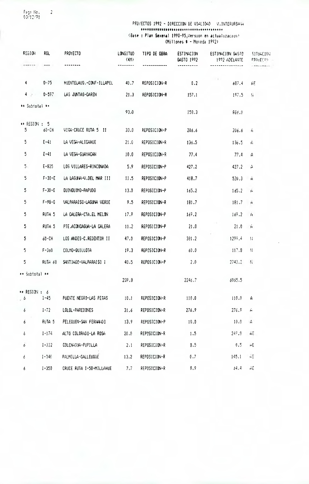Page No.<br>03/12/91  $\overline{\phantom{0}}$  2

PROYECTOS 1992 - DIRECCION DE VIALIDAD V.INTERUPPALA  $\textbf{***}\xspace\texttt{***}\xspace\texttt{***}\xspace\texttt{***}\xspace\texttt{***}\xspace\texttt{***}\xspace\texttt{***}\xspace\texttt{***}\xspace\texttt{***}\xspace\texttt{***}\xspace\texttt{***}\xspace\texttt{***}\xspace\texttt{***}\xspace\texttt{***}\xspace\texttt{***}\xspace\texttt{***}\xspace\texttt{***}\xspace\texttt{***}\xspace\texttt{***}\xspace\texttt{***}\xspace\texttt{***}\xspace\texttt{***}\xspace\texttt{***}\xspace\texttt{***}\xspace\texttt{***}\xspace\texttt{***}\xspace\texttt{***}\xspace\texttt{$ (Base : Plan Sexenal 1990-95, Version en actualización)<br>(Millones \$ - Moneda 1992)

| REGION                             | ROL          | PROYECTO                 | LONGITUD<br>(WI) | TIPO DE OBRA | ESTIMACION<br>GASTO 1992 | ESTIMACION GASTO<br>1992 ADELANTE | <b>SITUACION</b><br><b>PPOYECTO</b> |
|------------------------------------|--------------|--------------------------|------------------|--------------|--------------------------|-----------------------------------|-------------------------------------|
| ******                             | a sin.       | --------                 | --------         |              |                          |                                   |                                     |
| 4                                  | $D - 75$     | HUENTELAUD.-CONF-ILLAPEL | 40.7             | REPOSICION-R | 0.2                      | $\mathbf{r}$<br>687.4             | AE.                                 |
| $4 - 7 -$                          | $D-597$      | LAS JUNTAS-CAREN         | 21.3             | REPOSICION-R | 157.1                    | 197.5                             | $\mathbf{I}$                        |
| ** Subtotal **                     |              |                          |                  |              |                          |                                   |                                     |
|                                    |              |                          | 93.0             |              | 158.3                    | 886.0                             |                                     |
| $\leftrightarrow$ REGION : 5<br>5. | 60-CH        | VISA-CRUCE RUTA 5 11     | 33.0             | REPOSICION-P | 206.6                    | 206.6                             | $\epsilon$                          |
| 5                                  | $E - 41$     | LA VEGA-ALICAHUE         | 21.6             | REPOSICION-R | 136.5                    | 136.5                             | Ĥ.                                  |
| 5                                  | $E - 41$     | LA VEGA-GUAYACAN         | 10.0             | REPOSICION-R | 77.4                     | 77.4                              | $\mathbf{A}$                        |
| 5.                                 | $E - 825$    | LOS VILLARES-RINCOMADA   | 5.9              | REPOSICION-P | 427.2                    | 427.2                             | A                                   |
| 5                                  | $F - 30 - E$ | LA LAGUIA-V.DEL MAR III  | 11.5             | REPOSICION-P | 418.7                    | 520.3                             | M.<br>Ĥ                             |
| 5.                                 | $F - 30 - E$ | QUINQUIMO-PAPUDO         | 13.0             | REPOSICION-P | 165.2                    | 165.2                             | $\mathbf{H}$                        |
| 5.                                 | $F - 98 - 6$ | VALPARAISO-LAGUNA VERDE  | 9.5              | REPOSICION-R | 181.7                    | 181.7                             | $\overline{H}$                      |
| 5                                  | RUTA 5       | LA CALERA-CTA.EL MELON   | 17.9             | REPOSICION-P | 169.2                    | 169.2                             | Ĥ.                                  |
| 5                                  | RUTA 5       | PTE.ACONCAGUA-LA CALERA  | 11.2             | REPOSICION-P | 21.0                     | 21.0                              | Ĥ                                   |
| 5                                  | 60-CH        | LOS ANDES-C.REDENTOR II  | 47.0             | REPOSICION-P | 381.2                    | $1299 - 4$                        | $\mathbb{R}$                        |
| 5.                                 | $F - 360$    | COLMO-QUILLOTA           | 19.3             | REPOSICION-R | 60.0                     | 117.8                             | 君.                                  |
| 5.                                 | RUTA 68      | SANTIAGO-VALPARAISO I    | 40.5             | REPOSICION-P | 2.0                      | 2743.2                            | N                                   |
| ** Subtotal **                     |              |                          | 239.8            |              | 2246.7                   | 6065.5                            |                                     |
|                                    |              |                          |                  |              |                          |                                   |                                     |
| $\star\star$ REGION : 6<br>. 6     | $1 - 45$     | PUENTE NEGRO-LAS PESAS   | 10.1             | REPOSICION-R | 110.0                    | 110.0                             | A                                   |
| 6                                  | $1 - 72$     | LOLOL-PAREDONES          | 31.6             | REPOSICION-R | 276.9                    | 276.9                             | À                                   |
| ó                                  | RUTA 5       | PELEQUEN-SAN FERNANDO    | 13.9             | REPOSICION-P | 10,0                     | 10.0                              | $\mathbf{A}$                        |
| ó                                  | $1 - 174$    | ALTO COLORADO-LA ROSA    | 20.0             | REPOSICION-R | 1.5                      | 249.8                             | AΕ                                  |
| ō.                                 | $1 - 332$    | COLCHASUA-PUPILLA        | 2.1              | REPOSICION-R | 0.5                      | 0.5                               | $\Delta E$                          |
| 6                                  | $1 - 346$    | FALMILLA-CALLEUQUE       | 13.2             | REPOSICION-R | 0.7                      | 145.1                             | ЦE.                                 |
| 6                                  | $1 - 350$    | CRUCE RUTA I-50-MILLAHUE | $7.7^{\circ}$    | REPOSICION-R | 0, 9                     | 54.4                              | AE                                  |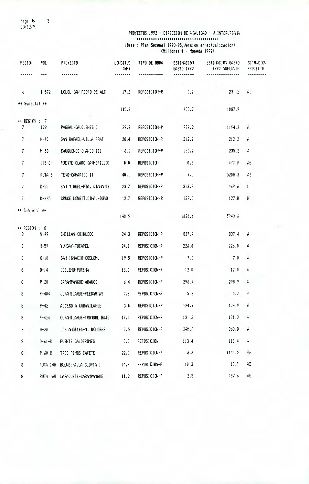Pags No. 3 03/12/<sup>9</sup><sup>1</sup>

### PROYECTOS 1992 - DIRECCION DE VIALIDAD V.INTERURSANA (Base : Plan Sexenal 1990-95,Version en'actualizacion) (Millones \$ - Moneda 1992)

| REG10N                             | ROL          | PROYECTO                       | <b>LONGITUD</b><br>(W) | TIPO DE OBRA      | ESTIMACION<br>GASTO 1992 | ESTIMACION GASTO<br>1992 ADELANTE | <b>SITIHETON</b><br>PROYECTO |
|------------------------------------|--------------|--------------------------------|------------------------|-------------------|--------------------------|-----------------------------------|------------------------------|
|                                    |              |                                |                        |                   |                          | -----------------                 |                              |
| 6.                                 | $1 - 572$    | LOLOL-SAN PEDRO DE ALC         | 17.2                   | REPOSICION-R      | 0.2                      | 231.2                             | ÁĒ                           |
| ** Subtotal **                     |              |                                |                        |                   |                          |                                   |                              |
|                                    |              |                                | 115.8                  |                   | 400.7                    | 1087.9                            |                              |
| ** REGION : 7<br>$\overline{7}$    | 128          | PARRAL-CAUQUENES I             | 29.9                   | REPOSICION-P      | 739.2                    | 1194.3                            | Ĥ.                           |
| $\mathbb{Z}^+$                     | $K-40$       | SAN RAFAEL-VILLA PRAT          | 28.4                   | REPOSICION-R      | 212.2                    | 212.2                             | Ā                            |
| $\vec{r}$                          | $M-50$       | CAUQUENES-CHANCD 111           | 6.1                    | REPOSICION-P      | 235.2                    | 235.2                             | H                            |
| 7                                  | $115 - CH$   | PUENTE CLARO (ARMERILLO)       | 0.0                    | <b>REPOSICION</b> | 0.3                      | 437.0                             | АĒ                           |
| $\overline{7}$                     | RUTA 5       | TENO-CAMARICO II               | 40.1                   | REPOSICION-P      | 9.0                      | 3208.3                            | AE                           |
| $\overline{\prime}$                | $K-55$       | SAN MIGUEL-PTA. DIAMANTE       | 23.7                   | REPOSICION-R      | 313.7                    | 469.6                             | $\{\}$                       |
| 7                                  | $K - 635$    | CRUCE LONGITUDINAL-DUAO        | 12.7                   | REPOSICION-R      | 127.0                    | 127.0                             | $\vert \langle$              |
| ** Subtotal **                     |              |                                | 140.9                  |                   | 1636.6                   | 5743.6                            |                              |
|                                    |              |                                |                        |                   |                          |                                   |                              |
| $\leftrightarrow$ REGION : 8<br>8. | tl-49        | CHILLAN-COINUECO               | 24.3                   | REPOSICION-P      | 837.4                    | 837.4                             | A                            |
| ε                                  | N-59         | YUNGAY-TUCAPEL                 | 24.0                   | REPOSICION-R      | 226.0                    | 226.0                             | A                            |
| Ŗ                                  | $0 - 10$     | SAN 16NAC10-COELEMU            | 19.5                   | REPOSICION-R      | 7.0                      | T,0                               | Ĥ                            |
| 8                                  | $0 - 14$     | COELEMU-PUREMA                 | 15.0                   | REPOSICION-R      | 12.0                     | 12.0                              | À                            |
| 8                                  | $P - 20$     | CARAMPANGUE-ARAUCO             | - 6.4                  | REPOSICION-P      | 298.9                    | 298.9                             | A                            |
| $\boldsymbol{\hat{\mathsf{s}}}$    | $P - 404$    | CURANILAHUE-PLEGARIAS 7.6      |                        | REPOSICION-R      | 5.2                      | $-5.2$                            | A.                           |
| 8                                  | $P-42$       | ACCESO A CURANILAHUE 3.0       |                        | REPOSICION-P      | 124.9                    | 124.9                             | Ĥ                            |
| $\bf{g}$                           | $P - 424$    | CURANTLAHUE-TRONGOL BAJO 17.4  |                        | REPOSICION-R      | $131.3 -$                | 131.3                             | Ĥ                            |
| $\hat{\rm e}$                      | $0 - 20$     | LOS ANGELES-M. DOLORES 7.5     |                        | REPOSICION-P      | 340.7                    | 363.8                             | A                            |
| 8                                  | $0 - 61 - R$ | FUENTE CALDERONES              | 0.0                    | REPOSICION        | 113.4                    | 113.4                             | ň                            |
| $\mathbb{S}$                       | $P - 60 - R$ | TRES PINOS-CASETE 22.0         |                        | REPOSICION-P      | 8.6                      | 1140.5                            | $\frac{\pi}{4}$              |
| 8                                  |              | RUTA 148 BULNES-A.LA GLORIA I  | 14.3                   | REPOSICION-P      | 10.3                     | $-10.3$                           | AF.                          |
| 8                                  |              | RUTA 160 LARAQUETE-CARAMPANGUE | 11.2                   | REPOSICION-P      | 2.5                      | 487.6                             | АE                           |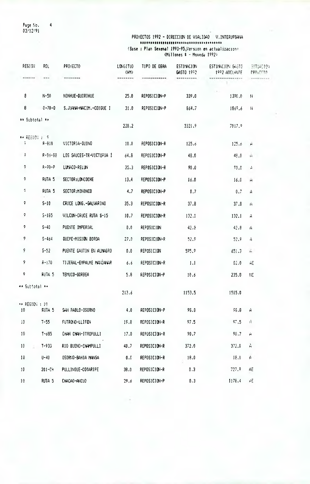Page Nov <mark>4</mark> 03/12191

### PROYECTOS 1992 - DIRECCION DE VIALIDAD V.INTERUPBANA (Base : Plan Sexenal 1990-95,Version en actualizacion, (Millones 1 - Moneda 1992)

| REGION                               | ROL               | PROYECTO                   | LONGITUD<br>(M) | TIPO DE OBRA      | ESTIMACION<br>GASTO 1992 | ESTIMACION GASTO<br>1992 ADELANTE | <b>SITUACION</b><br><b>PROJECTO</b> |
|--------------------------------------|-------------------|----------------------------|-----------------|-------------------|--------------------------|-----------------------------------|-------------------------------------|
|                                      | $\frac{1}{2}$     |                            |                 |                   |                          |                                   |                                     |
| 8                                    | $N - 50$          | NINHUE-QUIRIHUE            | 25.0            | REPOSICION-P      | 339.0                    | 1390.0                            | N                                   |
| 8                                    | $0 - 70 - 0$      | S. JUANA-NACIM. - COIGUE I | 31.0            | REPOSICION-P      | 864.7                    | 1869.6                            | $\mathcal{H}$                       |
| ** Subtotal **                       |                   |                            |                 |                   |                          |                                   |                                     |
|                                      |                   |                            | 228.2           |                   | 3321.9                   | 7017.9                            |                                     |
| ** REGIC( ) 9<br>$\frac{1}{2}$       | $F - 810$         | VICTORIA-QUINO             | 10.0            | REPOSICION-R      | 125.6                    | 125.6                             | ۳                                   |
| Ģ.                                   | R-83-88           | LOS SAUCES-TR-VICTORIA I   | 64.8            | REPOSICION-P      | 48.0                     | 48.0                              | Ĥ                                   |
| 9.                                   | $F - 90 - P$      | LUMACO-RELUN               | 35.3            | REPOSICION-R      | 90.0                     | 70.0                              | A                                   |
| 9.                                   | FUTA <sub>5</sub> | SECTOR:LONCOCHE            | 13.4            | REPOSICION-P      | 16.0                     | 16.0                              | $\mathbf{H}$                        |
| ç.                                   | <b>RUTA 5</b>     | SECTOR: MININCO            | 4.7             | REPOSICION-P      | 0.7                      | 0.7                               | Ĥ                                   |
| 9                                    | $S-10$            | CRUCE LONG. -GALVARINO     | 35.3            | REPOSICION-R      | 37.8                     | 37.8                              | Ä                                   |
| 9                                    | $5 - 185$         | VILCUN-CRUCE RUTA S-15     | 10.7            | REPOSICION-R      | 132.1                    | 132.1                             | Ĥ                                   |
| 9                                    | $S-40$            | PUENTE IMPERIAL            | 0,0             | <b>REPOSICION</b> | 42.8                     | 42.8                              | A                                   |
| 9                                    | $5 - 464$         | QUEPE-MISION BOROA         | 27.0            | REPOSICION-R      | 52.9                     | 52.9                              | Ĥ                                   |
| 9                                    | $5 - 52$          | PUENTE CAUTIN EN ALMAGRO   | 0.6             | REPOSICION        | 575.7                    | 651.3                             | Å,                                  |
| 9                                    | $R - 170$         | TIJERAL-EHPALHE MANZANAR   | 6.6             | REPOSICION-R      | 1.1                      | 62.0                              | ÄE                                  |
| 9                                    | RUTA 5            | TEMUCO-GORBEA              | 5.8             | REPOSICION-P      | 10.6                     | 235.8                             | ΠE                                  |
| ≁⊁ Subtotal ¥≁                       |                   |                            | 213.6           |                   | 1153.5                   | 1515.0                            |                                     |
| $\leftrightarrow$ REGION : 10.<br>10 | RUTA <sub>5</sub> | SAN PABLO-0SORNO           | 4.0             | REPOSICION-P      | 98.8                     | 58.8                              | Ĥ                                   |
| i0                                   | $T - 55$          | FUTRONO-LLIFEN             | 19.8            | REPOSICION-R      | 97.5                     | 97.5                              | Ĥ                                   |
| 10                                   | $T - 685$         | CHAN CHAN-ITROPULLI        | 17.0            | REPOSICION-R      | 90.7                     | 90.7                              | Ĥ                                   |
| 10 <sup>1</sup>                      | $T - 933$         | RIO BUENO-CHAMPULLI        | 40.7            | REPOSICION-R      | 372.0                    | 372.0                             | À                                   |
| 10                                   | $U - 40$          | OSORNO-BAHIA MANSA         | 0.0             | REPOSICION-R      | 18.0                     | 18.0                              | $\pmb{\mathcal{L}}$                 |
| $10^{\circ}$                         | $201 - CH$        | PULLINQUE-COSARIPE         | 38.0            | REPOSICION-R      | 0.3                      | 727.9                             | AE                                  |
| 10                                   | RUTA <sub>5</sub> | CHACA0-ANCUD               | 29.6            | REPOSICION-P      | 0.3                      | 1178.4                            | $\Delta E$                          |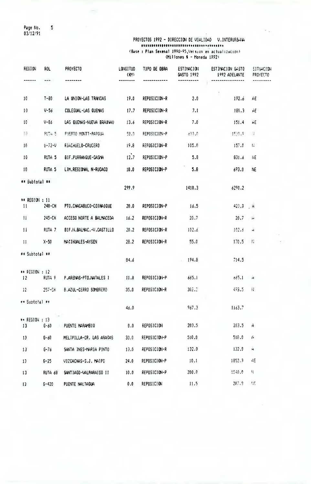Page No. 5 03/12/91

### PROYECTOS 1992 - DIRECCION DE VIALIDAD V.INTERURBANÁ (Base : Plan Sexenal 1990-95,version en actualizacion)  $\text{Milipones}$   $\bullet$  - Moneda 1992)

| <b>REGION</b>         | ROL.              | PROYECTO                 | LONGITUD<br>(M)       | TJPO DE OBRA | ESTIMACION<br>GASTO 1992 | ESTIMACION GASTO<br>1992 ADELANTE | <b>SITUACION</b><br>PROYECTO |
|-----------------------|-------------------|--------------------------|-----------------------|--------------|--------------------------|-----------------------------------|------------------------------|
|                       | ---               |                          |                       |              |                          |                                   |                              |
| 10 <sup>°</sup>       | $1 - 80$          | LA UNION-LAS TRANCAS     | 19.0                  | REPOSICION-R | 2.0                      | 192.6                             | AE                           |
| 10                    | $V - 56$          | COLEGUAL-LAS QUEMAS      | 17.7                  | REPOSICION-R | 7.1                      | 180.3                             | АE                           |
| 10                    | $V - 86$          | LAS QUEMAS-NUEVA BRAUNAU | 13.6                  | REPOSICION-R | 7.0                      | 151.4                             | ĤЕ                           |
| 10                    | PUT4.5            | PUERTO MONTT-PARGUA      | 58.0                  | REPOSICION-P | -599.0                   | 1539.9                            | $\frac{1}{2}$                |
| 10                    | $U - 72 - V$      | RIACHUELO-CRUCERO        | 19.8                  | REPOSICION-R | 105.0                    | 157.0                             | $\mathbf{H}$                 |
| 10 <sub>1</sub>       | RUTA <sub>5</sub> | BIF.PURRANQUE-CASMA      | 12.7                  | REPOSICION-P | 5.8                      | 831.6                             | <b>NE</b>                    |
| 10                    | RUTA <sub>5</sub> | LIM.REGIONAL N-RUCACO    | 10.0                  | REPOSICION-P | 5.8                      | 693.0                             | <b>NE</b>                    |
| <b>** Subtotal **</b> |                   |                          | 299.9                 |              | 1410.3                   | 6290.2                            |                              |
| ** REGION : 11        | 240-CH            |                          |                       |              |                          |                                   |                              |
| $\overline{11}$       |                   | PTO.CHACABUCO-COIHAIQUE  | 20.0                  | REPOSICION-P | 16.5                     | 423.3 A                           |                              |
| $\mathbf{11}$         | 245-CH            | ACCESO NORTE A BALMACEDA | 16.2                  | REPOSICION-R | 20.7                     | 20.7                              | $\overrightarrow{r}$         |
| $\mathbf{1}$          | ruta 7            | BIF.N.BALMAC.-V.CASTILLO | 20.2                  | REPOSICION-R | 102.6                    | 102.6                             | $\mathbf{H}$                 |
| 11                    | $X-50$            | MAS I HUALES-AYSEN       | 28.2                  | REPOSICION-R | 55.0                     | 170.5                             | $\mathbf{H}$                 |
| ** Subtotal **        |                   |                          | 84.6                  |              | 194.8                    | 714.5                             |                              |
| ** REGION : 12<br>12  | RUTA 9            | P.ARENAS-PTO.NATALES 1   | 11.0                  | REPOSICION-P | 665.1                    | 665.1                             | $\mathbf{H}$                 |
| $12 -$                | 257-CH            | B.AZUL-CERRO SOMBRERO    | 35.0                  | REPOSICION-R | 302.5                    | 473.5 H                           |                              |
| ** Subtotal **        |                   |                          | 46.0                  |              | 967.3                    | 1163.7                            |                              |
| ** REGION : 13<br>13  | $6 - 60$          | PUENTE MARAMB10          | 0.0                   | REPOSICION   | 203.5                    | 203.5 A                           |                              |
| 13                    | G-60              | MELIPILLA-CR. LAS ARASAS | 33.0                  | REPOSICION-P | 510.0                    | 510.0                             | $\mu$                        |
| 13                    | $6 - 76$          | Santa Ines-Haria Pinto   | 13.0                  | REPOSICION-R | 132.8                    | 132.8                             | $\overline{\mathbf{H}}$      |
| 13                    | $6 - 25$          | VIZCACHAS-S.J. MAIPO     | 24.0                  | REPOSICION-P | 10.1                     | 1852.3                            | AE                           |
| 13                    | RUTA 68           | SANT 1AGO-VALPARAISO II  | 10.0                  | REPOSICION-P | 200.0                    | 1940.0                            | H.                           |
| 13                    | $6 - 420$         | PUENTE NALTAGUA          | $\pmb{0}$ . $\pmb{0}$ | REPOSICION   | 11.5                     | 207.3                             | 古                            |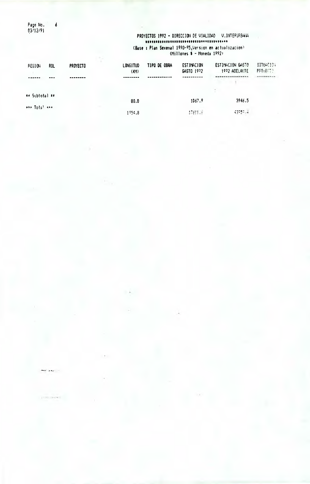Page No. 6<br>03/12/91

 $\sim 10^{-1}$  and  $\sim 10^{-1}$ 

**FESTIMANT** 

### PROYECTOS 1992 - DIRECCION DE VIALIDAD V.INTERURBARA (Base: Plan Sexenal 1990-95, Version en actualizacion)<br>(Millones \$ - Moneda 1992)

| <b>PEGION</b>  | ROL | <b>PROYECTO</b> | <b>LONGITUD</b><br>(M) | TIPO DE OBRA | <b>ESTIMACION</b><br>GASTO 1972 | ESTIMACION GASTO<br>1972 ADELANTE | <b>SITUACION</b><br>PFOTECTS. |
|----------------|-----|-----------------|------------------------|--------------|---------------------------------|-----------------------------------|-------------------------------|
|                |     |                 |                        |              |                                 |                                   | --------                      |
| ** Subtotal ** |     |                 | 80.0                   |              | 1067.9                          | 3946.5                            |                               |
| *** Total ***  |     |                 | 1954.8                 |              | 加強しる                            | 43557.4                           |                               |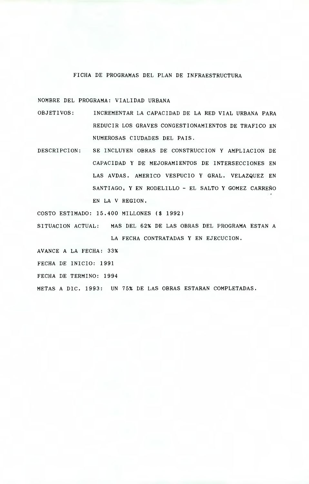#### FICHA DE PROGRAMAS DEL PLAN DE INFRAESTRUCTURA

NOMBRE DEL PROGRAMA: VIALIDAD URBANA

- OBJETIVOS: INCREMENTAR LA CAPACIDAD DE LA RED VIAL URBANA PARA REDUCIR LOS GRAVES CONGESTIONAMIENTOS DE TRAFICO EN NUMEROSAS CIUDADES DEL PAIS.
- DESCRIPCION: SE INCLUYEN OBRAS DE CONSTRUCCION Y AMPLIACION DE CAPACIDAD Y DE MEJORAMIENTOS DE INTERSECCIONES EN LAS AVDAS. AMERICO VESPUCIO Y GRAL. VELAZQUEZ EN SANTIAGO, Y EN RODELILLO - EL SALTO Y GOMEZ CARREÑO EN LA V REGION.

COSTO ESTIMADO: 15.400 MILLONES (\$ 1992)

SITUACION ACTUAL: MAS DEL 62% DE LAS OBRAS DEL PROGRAMA ESTAN A LA FECHA CONTRATADAS Y EN EJECUCION.

AVANCE A LA FECHA: 33%

FECHA DE INICIO: 1991

FECHA DE TERMINO: 1994

METAS A DIC. 1993: UN 75% DE LAS OBRAS ESTARAN COMPLETADAS.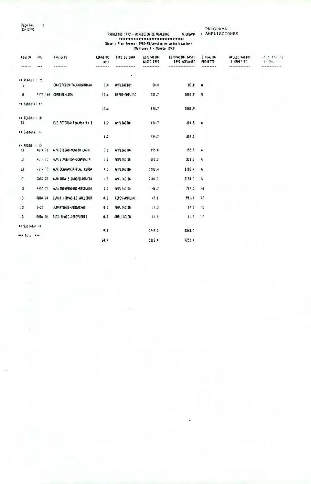Page No. 11<br>03/12/91

### PROGRAMA<br> **V.URBAW:** AMPLIACIONES PROVECTOS 1992 - DIRECCION DE VIALIDAD U.URBAY<br>ENERGENERALE DE VIALIDAD U.URBAY<br>(Base : Plan Sexenal 1990-95,Version en actualizacion)<br>(Millones \$ - Moneda 1992)

| FE6100               | F.OL      | PRG/ECTO                     | <b>LONGITUD</b><br>(101) | TIPO DE OBRA      | ESTIMACION<br>GASTO 1992 | ESTINACION GASTO<br>1992 ADELINITE | <b>SITUACION</b><br><b>PROYECTO</b> | AP.LICHACION<br><b>I SEMESTEE</b> | AFULLER THE<br>11.500 PM |
|----------------------|-----------|------------------------------|--------------------------|-------------------|--------------------------|------------------------------------|-------------------------------------|-----------------------------------|--------------------------|
| ******               | ---       | ********                     |                          |                   |                          |                                    |                                     | *************                     | <b>FRANKELLANDS-</b>     |
| $$ REGION : 9        |           |                              |                          |                   |                          |                                    |                                     |                                   |                          |
| 3                    |           | CONCEPCION-TALCAHUAND(A)     | $\pmb{0}$ . $\pmb{0}$    | AMPLIACION        | 0.0                      | 0.08                               | A                                   |                                   |                          |
| $\mathbf{B}$         |           | <b>CUTA 160 CORDIEL-LOTA</b> | 13.6                     | REPOS-AMPLIAC     | 750.7                    | 3002.9                             | N                                   |                                   |                          |
| ** Sublotai **       |           |                              |                          |                   |                          |                                    |                                     |                                   |                          |
|                      |           |                              | 13.6                     |                   | 830.7                    | 3082.9                             |                                     |                                   |                          |
| ** REGION : 10<br>10 |           | EJE PETORCA(Pto.Montt) 1     | 1.2                      | AMPLIACION        | 434.7                    | 604.5 A                            |                                     |                                   |                          |
| ** Subtotal **       |           |                              | 1.2                      |                   | 434.7                    | 604.5                              |                                     |                                   |                          |
| ** FEGION : 13       |           |                              |                          |                   |                          |                                    |                                     |                                   |                          |
| 13                   | RUTA 70   | A.V:BILBAD-NUNCIO LAGHI      | 3.1                      | AIPLIACION        | 155.0                    | 155.0                              | A                                   |                                   |                          |
| 13                   | Role 70   | A V:6.AVEHIDA-DCHAGAVIA      | 1.8                      | AIPLIACION        | 300.0                    | 300.0                              | A                                   |                                   |                          |
| 13                   | RuTe TO   | A.V:OCHAGAVIA-P.A. CERDA     | 4.0                      | AMPLIACION        | 1188.4                   | 1188.4                             | A                                   |                                   |                          |
| 13                   | FUIA 70   | A.V:RUTA 5-INDEPENDENCIA     | 1.0                      | ANFLIACION        | 2184.0                   | 2184.0                             | Α                                   |                                   |                          |
| $\mathbf{3}$         | F.J.A. 79 | A.V: INDEPENDENC-RECOLETA    | 0.0                      | AHPLIACION        | 46,7                     | 797.5                              | АE                                  |                                   |                          |
| 13                   | RUTA 74   | G.V:J.HIRMAS-LO VALLEDOR     | 0,0                      | REPOS-AMPLIAC     | 45.1                     | 911.4                              | AE                                  |                                   |                          |
| 13                   | $G - 25$  | U.MARTINEZ-VISCACHAS         | 0.0                      | AMPLIACION        | 17.3                     | 17.3                               | NE.                                 |                                   |                          |
| 13                   | FUTA 70   | RUTA 5-ACC.AEROPUERTO        | 0.0                      | <b>AMPLIACION</b> | 11.5                     | 11.5                               | NE                                  |                                   |                          |
| ** Subtotal **       |           |                              |                          |                   |                          |                                    |                                     |                                   |                          |
| H+ Total +++         |           |                              | 9,9                      |                   | 3748.0                   | 5565.0                             |                                     |                                   |                          |
|                      |           |                              | 24.7                     |                   | 5213.4                   | 9252.4                             |                                     |                                   |                          |

 $\sim$  7  $^\circ$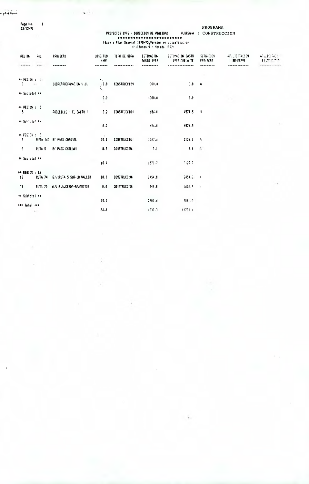البلقاوم و

Page No.<br>03/12/91

 $\blacksquare$ 

### PROGRAMA

and provide a

ġ

| <b>REGION</b>                    | Ŧе.     | <b>PROTECTD</b>          | LONGITUD<br>(M) | TIPO DE OBRA        | <b>ESTIMACION</b><br>645T0 1992 | estimacion Gasto<br>1992 ADELANTE | <b>SITULTION</b><br>FFO <sub>1</sub> ECTO | AP.LICITACI3H<br><b>I SENESTRE</b> | ALLIEDS ISL<br>II STATIS |
|----------------------------------|---------|--------------------------|-----------------|---------------------|---------------------------------|-----------------------------------|-------------------------------------------|------------------------------------|--------------------------|
| ******                           | $***$   |                          |                 |                     |                                 |                                   |                                           |                                    |                          |
| ## REGION : 0                    |         |                          |                 |                     |                                 |                                   |                                           |                                    |                          |
| $\mathbf{0}$ and $\mathbf{0}$    |         | SOBREPROGRAMMETON V.U.   | 10.0            | <b>CONSTRUCCION</b> | $-300.0$                        | 0.0                               | - A                                       |                                    |                          |
| ** Subtotal **                   |         |                          | 0.0             |                     | $-300.0$                        | 0.0                               |                                           |                                    |                          |
| $\leftrightarrow$ PEGIDN: 5<br>5 |         | RODELILLO - EL SALTO I   | 8.2             | CONSTRUCCION        | 656.0                           | 4571.5                            | - 14                                      |                                    |                          |
| ** Subfotal **                   |         |                          | 8.2             |                     | 656.0                           | 4571.5                            |                                           |                                    |                          |
| $\leftrightarrow$ FEGISI : 8     |         |                          | $\sim$          |                     |                                 |                                   |                                           |                                    |                          |
| B                                |         | FUTA 160 BY FASS CORONEL | 10.1            | <b>CONSTRUCCION</b> | 1567.6                          | 3126.3                            | A                                         |                                    |                          |
| B                                | RUTA 5  | BY PASS CHILLAN          | 8.3             | CONSTRUCCIO.        | 3.1                             | $3.1 - A$                         |                                           |                                    |                          |
| ** Suptotal **                   |         |                          | 18.4            |                     | 1570.7                          | 3129.9                            |                                           |                                    |                          |
| #* REGION : 13<br>13             | ruta 74 | G.V:RUTA 5 SUR-LD VALLED | 10.0            | <b>CONSTRUCCION</b> | 2454.8                          | 2454.8 A                          |                                           |                                    |                          |
| -13                              | RUTA 70 | A.V:P.A.CERDA-PAJARITOS  | 0.0             | <b>CONSTRUCCION</b> | 449.8                           | 1626.9                            | - 14                                      |                                    |                          |
| ** Subtotal **                   |         |                          |                 |                     |                                 |                                   |                                           |                                    |                          |
| <b>HH Total ###</b>              |         |                          | 10.0            |                     | 2903.6                          | 4081.7                            |                                           |                                    |                          |
|                                  | $\sim$  |                          | 36.6            |                     | 4830.3                          | 11783.1                           |                                           |                                    |                          |